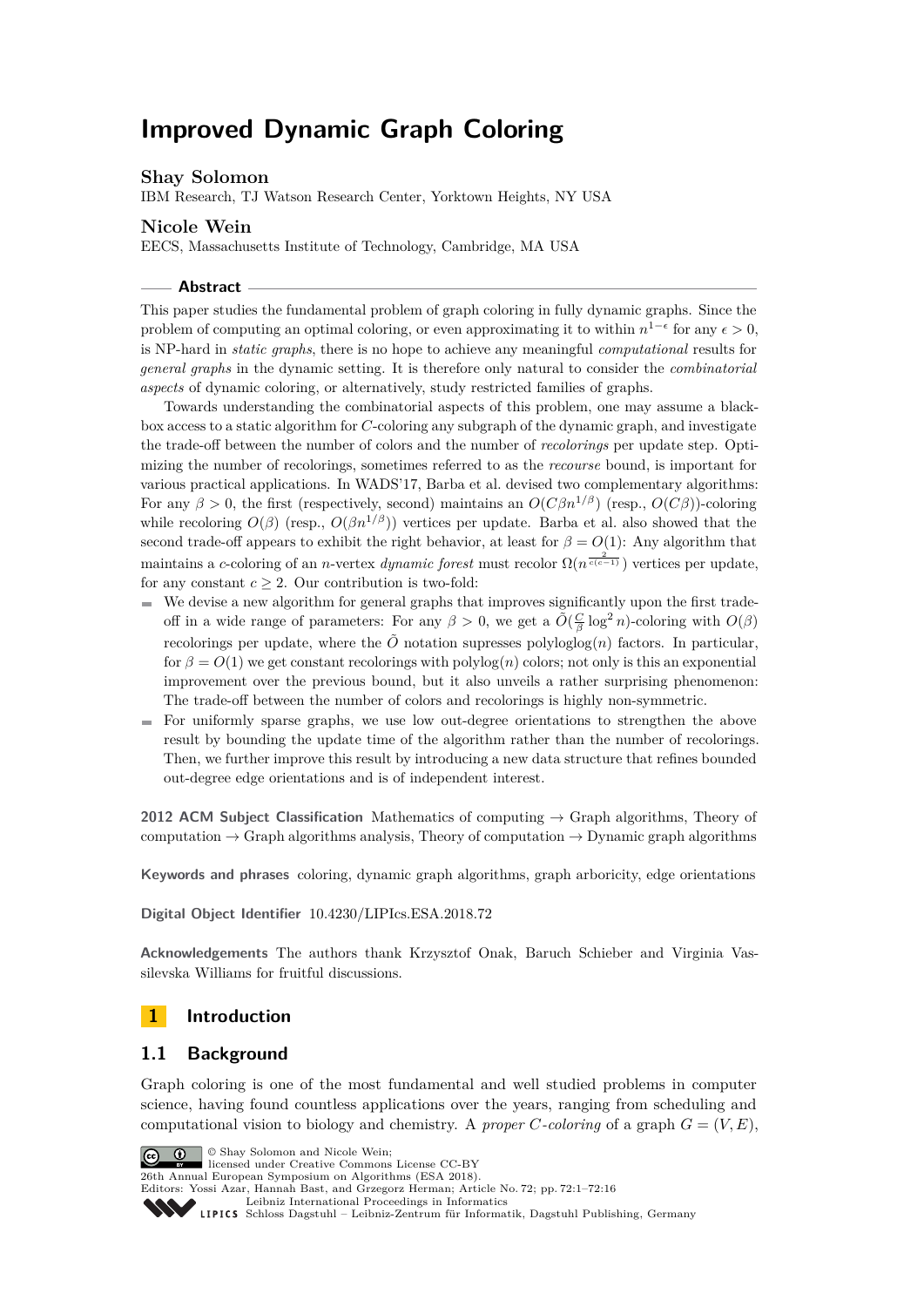# **Improved Dynamic Graph Coloring**

# **Shay Solomon**

IBM Research, TJ Watson Research Center, Yorktown Heights, NY USA

# **Nicole Wein**

EECS, Massachusetts Institute of Technology, Cambridge, MA USA

#### **Abstract**

This paper studies the fundamental problem of graph coloring in fully dynamic graphs. Since the problem of computing an optimal coloring, or even approximating it to within  $n^{1-\epsilon}$  for any  $\epsilon > 0$ , is NP-hard in *static graphs*, there is no hope to achieve any meaningful *computational* results for *general graphs* in the dynamic setting. It is therefore only natural to consider the *combinatorial aspects* of dynamic coloring, or alternatively, study restricted families of graphs.

Towards understanding the combinatorial aspects of this problem, one may assume a blackbox access to a static algorithm for *C*-coloring any subgraph of the dynamic graph, and investigate the trade-off between the number of colors and the number of *recolorings* per update step. Optimizing the number of recolorings, sometimes referred to as the *recourse* bound, is important for various practical applications. In WADS'17, Barba et al. devised two complementary algorithms: For any  $\beta > 0$ , the first (respectively, second) maintains an  $O(C\beta n^{1/\beta})$  (resp.,  $O(C\beta)$ )-coloring while recoloring  $O(\beta)$  (resp.,  $O(\beta n^{1/\beta})$ ) vertices per update. Barba et al. also showed that the second trade-off appears to exhibit the right behavior, at least for  $\beta = O(1)$ : Any algorithm that maintains a *c*-coloring of an *n*-vertex *dynamic forest* must recolor  $\Omega(n^{\frac{2}{c(c-1)}})$  vertices per update, for any constant  $c > 2$ . Our contribution is two-fold:

- $\blacksquare$  We devise a new algorithm for general graphs that improves significantly upon the first tradeoff in a wide range of parameters: For any  $\beta > 0$ , we get a  $\tilde{O}(\frac{C}{\beta} \log^2 n)$ -coloring with  $O(\beta)$ recolorings per update, where the  $\tilde{O}$  notation supresses polyloglog $(n)$  factors. In particular, for  $\beta = O(1)$  we get constant recolorings with polylog(*n*) colors; not only is this an exponential improvement over the previous bound, but it also unveils a rather surprising phenomenon: The trade-off between the number of colors and recolorings is highly non-symmetric.
- For uniformly sparse graphs, we use low out-degree orientations to strengthen the above result by bounding the update time of the algorithm rather than the number of recolorings. Then, we further improve this result by introducing a new data structure that refines bounded out-degree edge orientations and is of independent interest.

**2012 ACM Subject Classification** Mathematics of computing → Graph algorithms, Theory of computation  $\rightarrow$  Graph algorithms analysis, Theory of computation  $\rightarrow$  Dynamic graph algorithms

**Keywords and phrases** coloring, dynamic graph algorithms, graph arboricity, edge orientations

**Digital Object Identifier** [10.4230/LIPIcs.ESA.2018.72](http://dx.doi.org/10.4230/LIPIcs.ESA.2018.72)

**Acknowledgements** The authors thank Krzysztof Onak, Baruch Schieber and Virginia Vassilevska Williams for fruitful discussions.

# **1 Introduction**

## **1.1 Background**

Graph coloring is one of the most fundamental and well studied problems in computer science, having found countless applications over the years, ranging from scheduling and computational vision to biology and chemistry. A *proper C*-coloring of a graph  $G = (V, E)$ ,

**C**  $\bullet$  **C** Shay Solomon and Nicole Wein: licensed under Creative Commons License CC-BY 26th Annual European Symposium on Algorithms (ESA 2018). Editors: Yossi Azar, Hannah Bast, and Grzegorz Herman; Article No. 72; pp. 72:1–72[:16](#page-15-0) [Leibniz International Proceedings in Informatics](http://www.dagstuhl.de/lipics/) [Schloss Dagstuhl – Leibniz-Zentrum für Informatik, Dagstuhl Publishing, Germany](http://www.dagstuhl.de)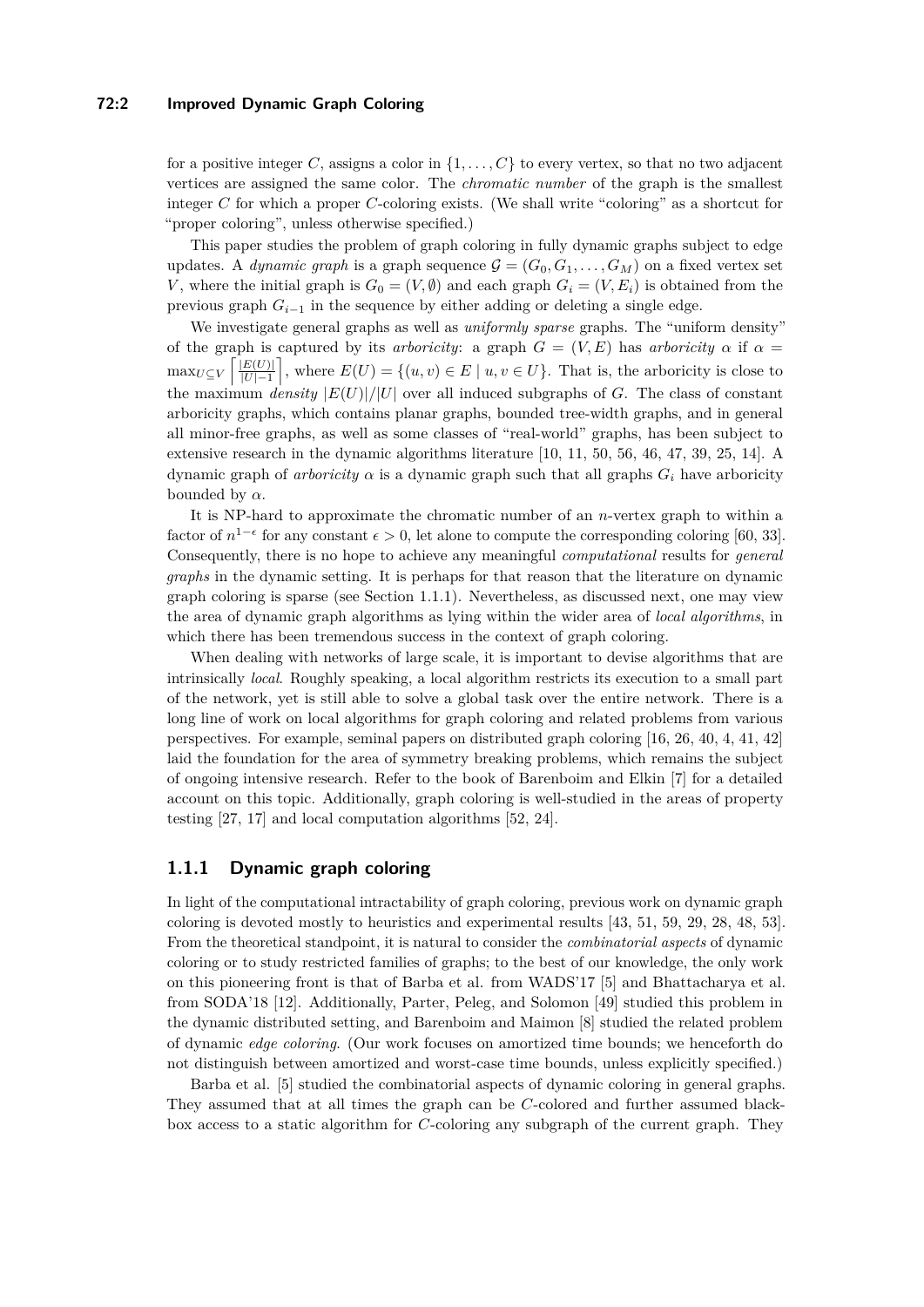#### **72:2 Improved Dynamic Graph Coloring**

for a positive integer C, assigns a color in  $\{1, \ldots, C\}$  to every vertex, so that no two adjacent vertices are assigned the same color. The *chromatic number* of the graph is the smallest integer *C* for which a proper *C*-coloring exists. (We shall write "coloring" as a shortcut for "proper coloring", unless otherwise specified.)

This paper studies the problem of graph coloring in fully dynamic graphs subject to edge updates. A *dynamic graph* is a graph sequence  $\mathcal{G} = (G_0, G_1, \dots, G_M)$  on a fixed vertex set *V*, where the initial graph is  $G_0 = (V, \emptyset)$  and each graph  $G_i = (V, E_i)$  is obtained from the previous graph  $G_{i-1}$  in the sequence by either adding or deleting a single edge.

We investigate general graphs as well as *uniformly sparse* graphs. The "uniform density" of the graph is captured by its *arboricity*: a graph  $G = (V, E)$  has *arboricity*  $\alpha$  if  $\alpha =$  $\max_{U \subseteq V} \left[ \frac{|E(U)|}{|U| - 1} \right]$  $\left|\frac{E(U)}{|U|-1}\right|$ , where  $E(U) = \{(u, v) \in E \mid u, v \in U\}$ . That is, the arboricity is close to the maximum *density*  $|E(U)|/|U|$  over all induced subgraphs of *G*. The class of constant arboricity graphs, which contains planar graphs, bounded tree-width graphs, and in general all minor-free graphs, as well as some classes of "real-world" graphs, has been subject to extensive research in the dynamic algorithms literature [\[10,](#page-12-0) [11,](#page-12-1) [50,](#page-14-0) [56,](#page-15-1) [46,](#page-14-1) [47,](#page-14-2) [39,](#page-14-3) [25,](#page-13-0) [14\]](#page-13-1). A dynamic graph of *arboricity*  $\alpha$  is a dynamic graph such that all graphs  $G_i$  have arboricity bounded by  $\alpha$ .

It is NP-hard to approximate the chromatic number of an *n*-vertex graph to within a factor of  $n^{1-\epsilon}$  for any constant  $\epsilon > 0$ , let alone to compute the corresponding coloring [\[60,](#page-15-2) [33\]](#page-14-4). Consequently, there is no hope to achieve any meaningful *computational* results for *general graphs* in the dynamic setting. It is perhaps for that reason that the literature on dynamic graph coloring is sparse (see Section [1.1.1\)](#page-1-0). Nevertheless, as discussed next, one may view the area of dynamic graph algorithms as lying within the wider area of *local algorithms*, in which there has been tremendous success in the context of graph coloring.

When dealing with networks of large scale, it is important to devise algorithms that are intrinsically *local*. Roughly speaking, a local algorithm restricts its execution to a small part of the network, yet is still able to solve a global task over the entire network. There is a long line of work on local algorithms for graph coloring and related problems from various perspectives. For example, seminal papers on distributed graph coloring [\[16,](#page-13-2) [26,](#page-13-3) [40,](#page-14-5) [4,](#page-12-2) [41,](#page-14-6) [42\]](#page-14-7) laid the foundation for the area of symmetry breaking problems, which remains the subject of ongoing intensive research. Refer to the book of Barenboim and Elkin [\[7\]](#page-12-3) for a detailed account on this topic. Additionally, graph coloring is well-studied in the areas of property testing [\[27,](#page-13-4) [17\]](#page-13-5) and local computation algorithms [\[52,](#page-15-3) [24\]](#page-13-6).

## <span id="page-1-0"></span>**1.1.1 Dynamic graph coloring**

In light of the computational intractability of graph coloring, previous work on dynamic graph coloring is devoted mostly to heuristics and experimental results [\[43,](#page-14-8) [51,](#page-14-9) [59,](#page-15-4) [29,](#page-13-7) [28,](#page-13-8) [48,](#page-14-10) [53\]](#page-15-5). From the theoretical standpoint, it is natural to consider the *combinatorial aspects* of dynamic coloring or to study restricted families of graphs; to the best of our knowledge, the only work on this pioneering front is that of Barba et al. from WADS'17 [\[5\]](#page-12-4) and Bhattacharya et al. from SODA'18 [\[12\]](#page-13-9). Additionally, Parter, Peleg, and Solomon [\[49\]](#page-14-11) studied this problem in the dynamic distributed setting, and Barenboim and Maimon [\[8\]](#page-12-5) studied the related problem of dynamic *edge coloring*. (Our work focuses on amortized time bounds; we henceforth do not distinguish between amortized and worst-case time bounds, unless explicitly specified.)

Barba et al. [\[5\]](#page-12-4) studied the combinatorial aspects of dynamic coloring in general graphs. They assumed that at all times the graph can be *C*-colored and further assumed blackbox access to a static algorithm for *C*-coloring any subgraph of the current graph. They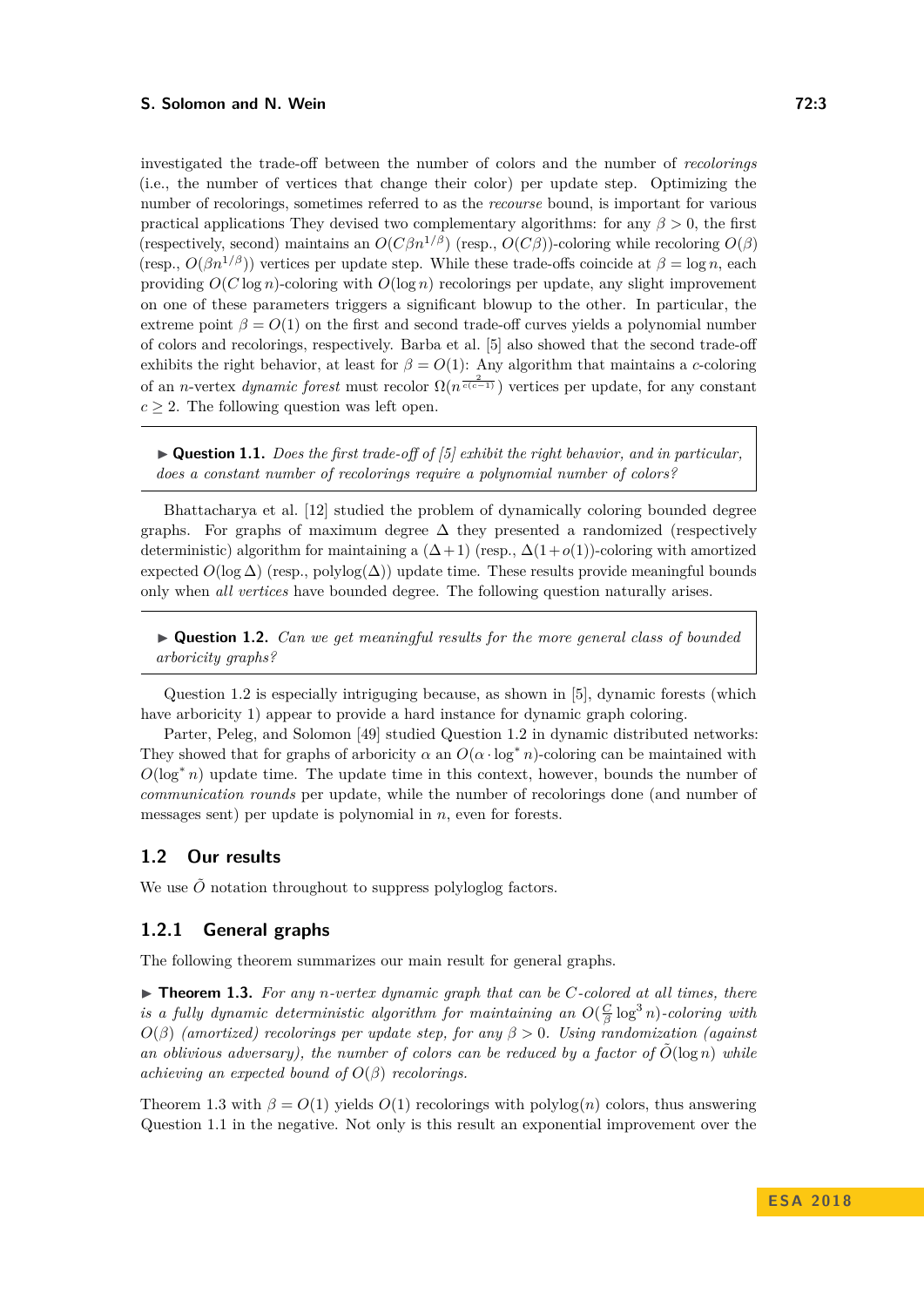investigated the trade-off between the number of colors and the number of *recolorings* (i.e., the number of vertices that change their color) per update step. Optimizing the number of recolorings, sometimes referred to as the *recourse* bound, is important for various practical applications They devised two complementary algorithms: for any  $\beta > 0$ , the first (respectively, second) maintains an  $O(C\beta n^{1/\beta})$  (resp.,  $O(C\beta)$ )-coloring while recoloring  $O(\beta)$ (resp.,  $O(\beta n^{1/\beta})$ ) vertices per update step. While these trade-offs coincide at  $\beta = \log n$ , each providing  $O(C \log n)$ -coloring with  $O(\log n)$  recolorings per update, any slight improvement on one of these parameters triggers a significant blowup to the other. In particular, the extreme point  $\beta = O(1)$  on the first and second trade-off curves yields a polynomial number of colors and recolorings, respectively. Barba et al. [\[5\]](#page-12-4) also showed that the second trade-off exhibits the right behavior, at least for  $\beta = O(1)$ : Any algorithm that maintains a *c*-coloring of an *n*-vertex *dynamic forest* must recolor  $\Omega(n^{\frac{2}{c(c-1)}})$  vertices per update, for any constant  $c \geq 2$ . The following question was left open.

<span id="page-2-2"></span>I **Question 1.1.** *Does the first trade-off of [\[5\]](#page-12-4) exhibit the right behavior, and in particular, does a constant number of recolorings require a polynomial number of colors?*

Bhattacharya et al. [\[12\]](#page-13-9) studied the problem of dynamically coloring bounded degree graphs. For graphs of maximum degree  $\Delta$  they presented a randomized (respectively deterministic) algorithm for maintaining a  $(\Delta + 1)$  (resp.,  $\Delta(1+o(1))$ -coloring with amortized expected  $O(\log \Delta)$  (resp., polylog( $\Delta$ )) update time. These results provide meaningful bounds only when *all vertices* have bounded degree. The following question naturally arises.

<span id="page-2-0"></span>▶ **Question 1.2.** *Can we get meaningful results for the more general class of bounded arboricity graphs?*

Question [1.2](#page-2-0) is especially intriguging because, as shown in [\[5\]](#page-12-4), dynamic forests (which have arboricity 1) appear to provide a hard instance for dynamic graph coloring.

Parter, Peleg, and Solomon [\[49\]](#page-14-11) studied Question [1.2](#page-2-0) in dynamic distributed networks: They showed that for graphs of arboricity  $\alpha$  an  $O(\alpha \cdot \log^* n)$ -coloring can be maintained with  $O(\log^* n)$  update time. The update time in this context, however, bounds the number of *communication rounds* per update, while the number of recolorings done (and number of messages sent) per update is polynomial in *n*, even for forests.

# **1.2 Our results**

We use  $\tilde{O}$  notation throughout to suppress polyloglog factors.

## <span id="page-2-3"></span>**1.2.1 General graphs**

The following theorem summarizes our main result for general graphs.

<span id="page-2-1"></span>▶ **Theorem 1.3.** *For any n-vertex dynamic graph that can be C-colored at all times, there is a fully dynamic deterministic algorithm for maintaining an*  $O(\frac{C}{\beta} \log^3 n)$ -coloring with  $O(\beta)$  (amortized) recolorings per update step, for any  $\beta > 0$ . Using randomization (against) *an oblivious adversary), the number of colors can be reduced by a factor of*  $O(\log n)$  *while achieving an expected bound of*  $O(\beta)$  *recolorings.* 

Theorem [1.3](#page-2-1) with  $\beta = O(1)$  yields  $O(1)$  recolorings with polylog(*n*) colors, thus answering Question [1.1](#page-2-2) in the negative. Not only is this result an exponential improvement over the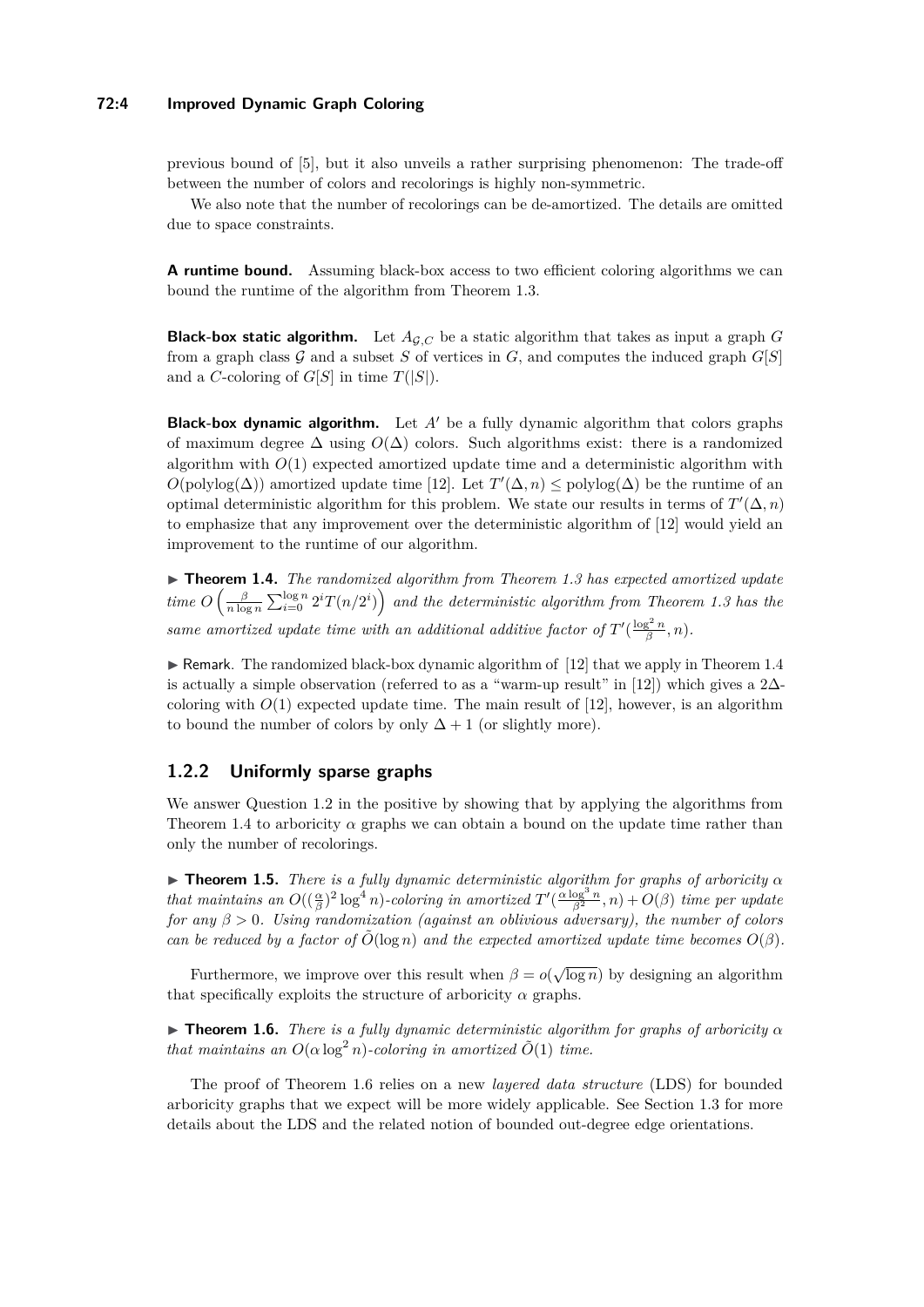## **72:4 Improved Dynamic Graph Coloring**

previous bound of [\[5\]](#page-12-4), but it also unveils a rather surprising phenomenon: The trade-off between the number of colors and recolorings is highly non-symmetric.

We also note that the number of recolorings can be de-amortized. The details are omitted due to space constraints.

**A runtime bound.** Assuming black-box access to two efficient coloring algorithms we can bound the runtime of the algorithm from Theorem [1.3.](#page-2-1)

**Black-box static algorithm.** Let  $A_{\mathcal{G},C}$  be a static algorithm that takes as input a graph G from a graph class  $G$  and a subset  $S$  of vertices in  $G$ , and computes the induced graph  $G[S]$ and a *C*-coloring of  $G[S]$  in time  $T(|S|)$ .

**Black-box dynamic algorithm.** Let  $A'$  be a fully dynamic algorithm that colors graphs of maximum degree  $\Delta$  using  $O(\Delta)$  colors. Such algorithms exist: there is a randomized algorithm with  $O(1)$  expected amortized update time and a deterministic algorithm with  $O(\text{polylog}(\Delta))$  amortized update time [\[12\]](#page-13-9). Let  $T'(\Delta, n) \leq \text{polylog}(\Delta)$  be the runtime of an optimal deterministic algorithm for this problem. We state our results in terms of  $T'(\Delta, n)$ to emphasize that any improvement over the deterministic algorithm of [\[12\]](#page-13-9) would yield an improvement to the runtime of our algorithm.

<span id="page-3-0"></span>I **Theorem 1.4.** *The randomized algorithm from Theorem [1.3](#page-2-1) has expected amortized update*  $time$   $O\left(\frac{\beta}{n \log n} \sum_{i=0}^{\log n} 2^i T(n/2^i)\right)$  and the deterministic algorithm from Theorem [1.3](#page-2-1) has the *same amortized update time with an additional additive factor of*  $T'(\frac{\log^2 n}{\beta}, n)$ *.* 

 $\triangleright$  Remark. The randomized black-box dynamic algorithm of [\[12\]](#page-13-9) that we apply in Theorem [1.4](#page-3-0) is actually a simple observation (referred to as a "warm-up result" in [\[12\]](#page-13-9)) which gives a 2∆coloring with  $O(1)$  expected update time. The main result of  $[12]$ , however, is an algorithm to bound the number of colors by only  $\Delta + 1$  (or slightly more).

# <span id="page-3-3"></span>**1.2.2 Uniformly sparse graphs**

We answer Question [1.2](#page-2-0) in the positive by showing that by applying the algorithms from Theorem [1.4](#page-3-0) to arboricity  $\alpha$  graphs we can obtain a bound on the update time rather than only the number of recolorings.

<span id="page-3-2"></span>**Theorem 1.5.** *There is a fully dynamic deterministic algorithm for graphs of arboricity*  $\alpha$ *that maintains an*  $O((\frac{\alpha}{\beta})^2 \log^4 n)$ *-coloring in amortized*  $T'(\frac{\alpha \log^3 n}{\beta^2}, n) + O(\beta)$  *time per update for any β >* 0*. Using randomization (against an oblivious adversary), the number of colors can be reduced by a factor of*  $O(\log n)$  *and the expected amortized update time becomes*  $O(\beta)$ *.* 

Furthermore, we improve over this result when  $\beta = o(\sqrt{\log n})$  by designing an algorithm that specifically exploits the structure of arboricity  $\alpha$  graphs.

<span id="page-3-1"></span>**Figure 1.6.** *There is a fully dynamic deterministic algorithm for graphs of arboricity*  $\alpha$ *that maintains an*  $O(\alpha \log^2 n)$ *-coloring in amortized*  $\tilde{O}(1)$  *time.* 

The proof of Theorem [1.6](#page-3-1) relies on a new *layered data structure* (LDS) for bounded arboricity graphs that we expect will be more widely applicable. See Section [1.3](#page-4-0) for more details about the LDS and the related notion of bounded out-degree edge orientations.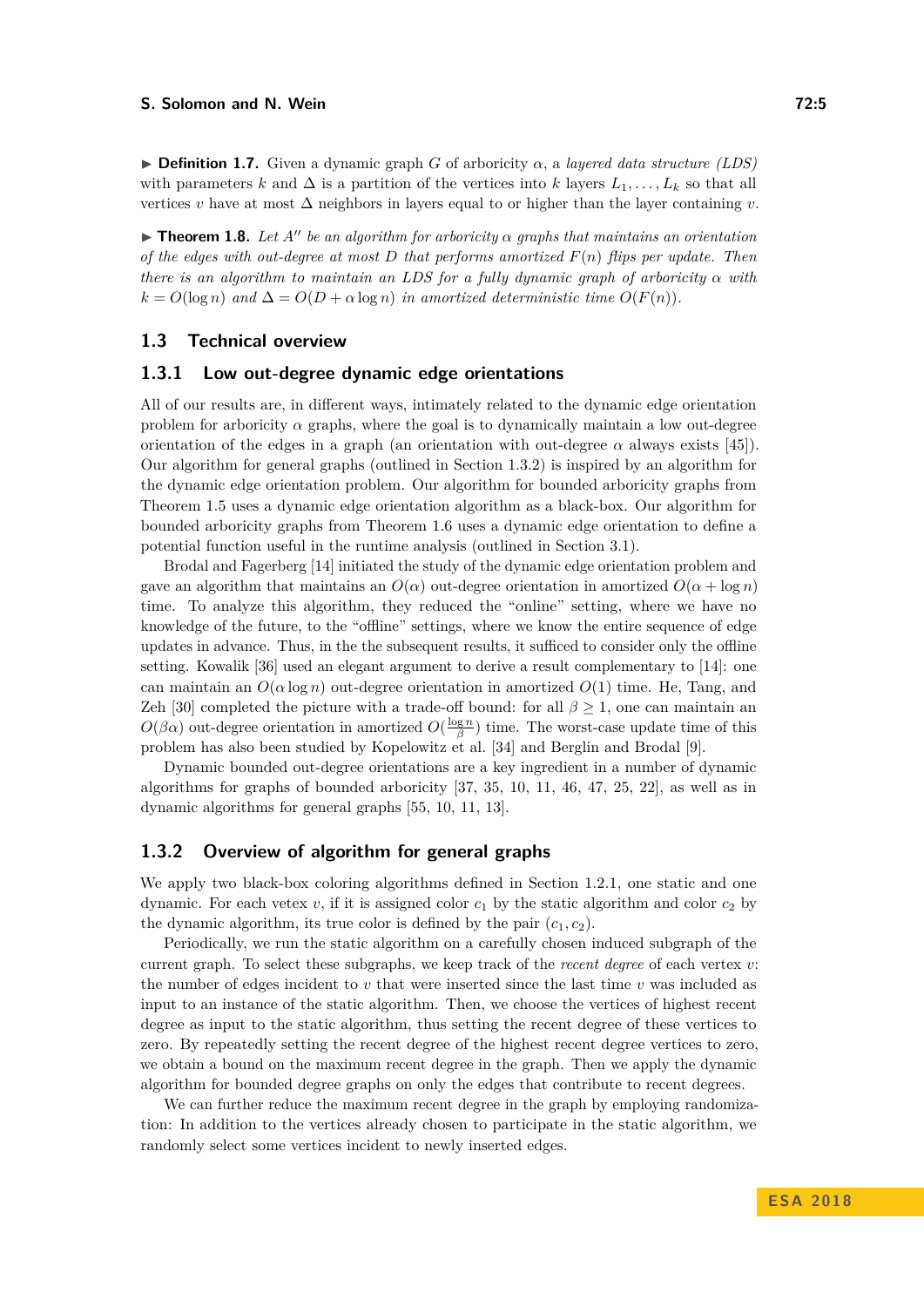#### **S. Solomon and N. Wein** *Company Company Company* **<b>***Company Company COMPany COMPany COMPany COMPany COMPany COMPany COMPany COMPany COMPany COMPany COMPany COMP*

**Definition 1.7.** Given a dynamic graph *G* of arboricity  $\alpha$ , a *layered data structure (LDS)* with parameters *k* and  $\Delta$  is a partition of the vertices into *k* layers  $L_1, \ldots, L_k$  so that all vertices *v* have at most ∆ neighbors in layers equal to or higher than the layer containing *v*.

<span id="page-4-2"></span>**In Theorem 1.8.** Let  $A''$  be an algorithm for arboricity  $\alpha$  graphs that maintains an orientation *of the edges with out-degree at most D that performs amortized F*(*n*) *flips per update. Then there is an algorithm to maintain an LDS for a fully dynamic graph of arboricity*  $\alpha$  *with*  $k = O(\log n)$  *and*  $\Delta = O(D + \alpha \log n)$  *in amortized deterministic time*  $O(F(n))$ *.* 

#### <span id="page-4-0"></span>**1.3 Technical overview**

#### **1.3.1 Low out-degree dynamic edge orientations**

All of our results are, in different ways, intimately related to the dynamic edge orientation problem for arboricity  $\alpha$  graphs, where the goal is to dynamically maintain a low out-degree orientation of the edges in a graph (an orientation with out-degree  $\alpha$  always exists [\[45\]](#page-14-12)). Our algorithm for general graphs (outlined in Section [1.3.2\)](#page-4-1) is inspired by an algorithm for the dynamic edge orientation problem. Our algorithm for bounded arboricity graphs from Theorem [1.5](#page-3-2) uses a dynamic edge orientation algorithm as a black-box. Our algorithm for bounded arboricity graphs from Theorem [1.6](#page-3-1) uses a dynamic edge orientation to define a potential function useful in the runtime analysis (outlined in Section [3.1\)](#page-10-0).

Brodal and Fagerberg [\[14\]](#page-13-1) initiated the study of the dynamic edge orientation problem and gave an algorithm that maintains an  $O(\alpha)$  out-degree orientation in amortized  $O(\alpha + \log n)$ time. To analyze this algorithm, they reduced the "online" setting, where we have no knowledge of the future, to the "offline" settings, where we know the entire sequence of edge updates in advance. Thus, in the the subsequent results, it sufficed to consider only the offline setting. Kowalik [\[36\]](#page-14-13) used an elegant argument to derive a result complementary to [\[14\]](#page-13-1): one can maintain an  $O(\alpha \log n)$  out-degree orientation in amortized  $O(1)$  time. He, Tang, and Zeh [\[30\]](#page-13-10) completed the picture with a trade-off bound: for all  $\beta \geq 1$ , one can maintain an  $O(\beta \alpha)$  out-degree orientation in amortized  $O(\frac{\log n}{\beta})$  time. The worst-case update time of this problem has also been studied by Kopelowitz et al. [\[34\]](#page-14-14) and Berglin and Brodal [\[9\]](#page-12-6).

Dynamic bounded out-degree orientations are a key ingredient in a number of dynamic algorithms for graphs of bounded arboricity  $[37, 35, 10, 11, 46, 47, 25, 22]$  $[37, 35, 10, 11, 46, 47, 25, 22]$  $[37, 35, 10, 11, 46, 47, 25, 22]$  $[37, 35, 10, 11, 46, 47, 25, 22]$  $[37, 35, 10, 11, 46, 47, 25, 22]$  $[37, 35, 10, 11, 46, 47, 25, 22]$  $[37, 35, 10, 11, 46, 47, 25, 22]$  $[37, 35, 10, 11, 46, 47, 25, 22]$  $[37, 35, 10, 11, 46, 47, 25, 22]$  $[37, 35, 10, 11, 46, 47, 25, 22]$  $[37, 35, 10, 11, 46, 47, 25, 22]$  $[37, 35, 10, 11, 46, 47, 25, 22]$  $[37, 35, 10, 11, 46, 47, 25, 22]$  $[37, 35, 10, 11, 46, 47, 25, 22]$  $[37, 35, 10, 11, 46, 47, 25, 22]$ , as well as in dynamic algorithms for general graphs [\[55,](#page-15-6) [10,](#page-12-0) [11,](#page-12-1) [13\]](#page-13-12).

## <span id="page-4-1"></span>**1.3.2 Overview of algorithm for general graphs**

We apply two black-box coloring algorithms defined in Section [1.2.1,](#page-2-3) one static and one dynamic. For each vetex  $v$ , if it is assigned color  $c_1$  by the static algorithm and color  $c_2$  by the dynamic algorithm, its true color is defined by the pair  $(c_1, c_2)$ .

Periodically, we run the static algorithm on a carefully chosen induced subgraph of the current graph. To select these subgraphs, we keep track of the *recent degree* of each vertex *v*: the number of edges incident to *v* that were inserted since the last time *v* was included as input to an instance of the static algorithm. Then, we choose the vertices of highest recent degree as input to the static algorithm, thus setting the recent degree of these vertices to zero. By repeatedly setting the recent degree of the highest recent degree vertices to zero, we obtain a bound on the maximum recent degree in the graph. Then we apply the dynamic algorithm for bounded degree graphs on only the edges that contribute to recent degrees.

We can further reduce the maximum recent degree in the graph by employing randomization: In addition to the vertices already chosen to participate in the static algorithm, we randomly select some vertices incident to newly inserted edges.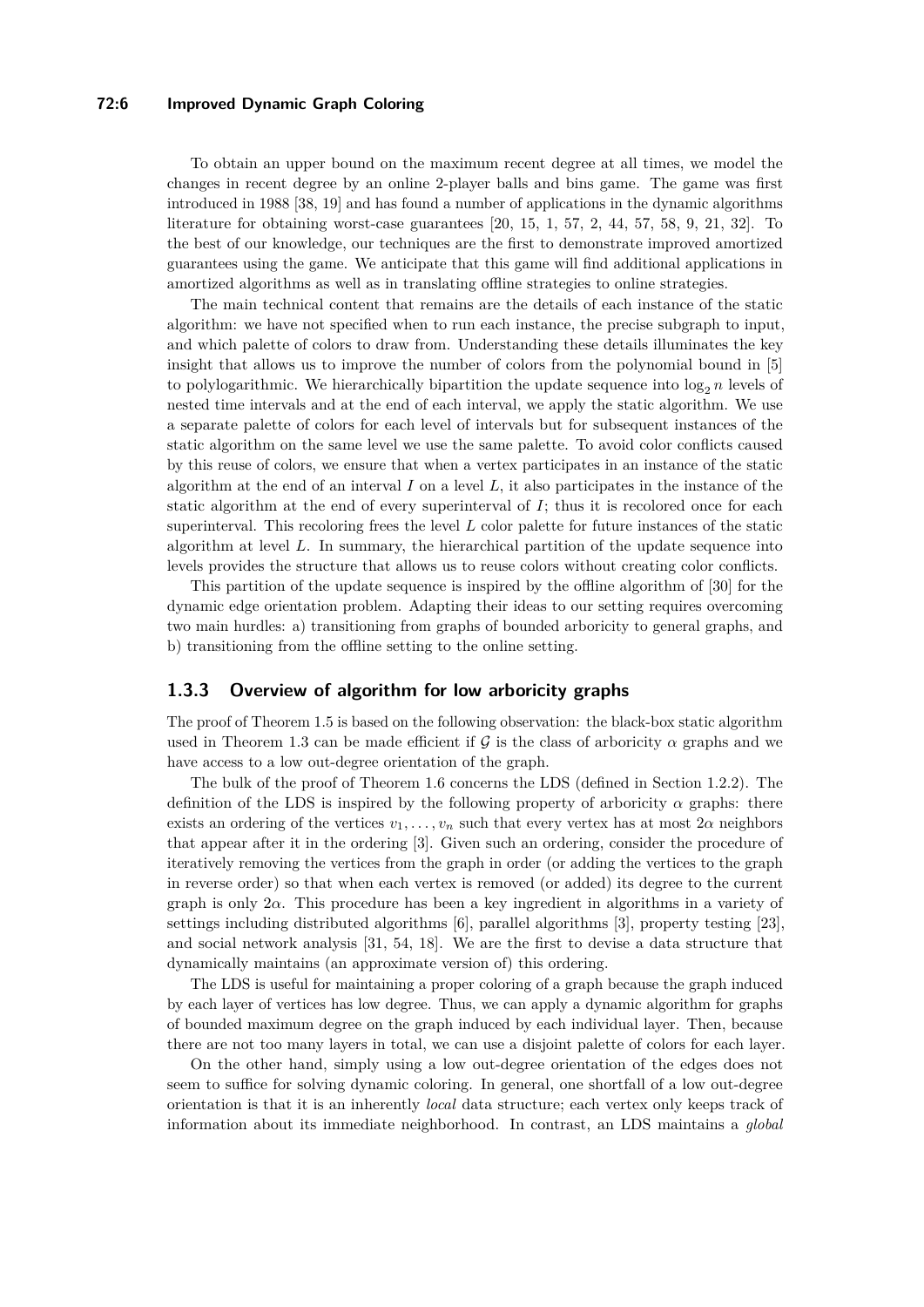## **72:6 Improved Dynamic Graph Coloring**

To obtain an upper bound on the maximum recent degree at all times, we model the changes in recent degree by an online 2-player balls and bins game. The game was first introduced in 1988 [\[38,](#page-14-17) [19\]](#page-13-13) and has found a number of applications in the dynamic algorithms literature for obtaining worst-case guarantees [\[20,](#page-13-14) [15,](#page-13-15) [1,](#page-12-7) [57,](#page-15-7) [2,](#page-12-8) [44,](#page-14-18) [57,](#page-15-7) [58,](#page-15-8) [9,](#page-12-6) [21,](#page-13-16) [32\]](#page-14-19). To the best of our knowledge, our techniques are the first to demonstrate improved amortized guarantees using the game. We anticipate that this game will find additional applications in amortized algorithms as well as in translating offline strategies to online strategies.

The main technical content that remains are the details of each instance of the static algorithm: we have not specified when to run each instance, the precise subgraph to input, and which palette of colors to draw from. Understanding these details illuminates the key insight that allows us to improve the number of colors from the polynomial bound in [\[5\]](#page-12-4) to polylogarithmic. We hierarchically bipartition the update sequence into  $\log_2 n$  levels of nested time intervals and at the end of each interval, we apply the static algorithm. We use a separate palette of colors for each level of intervals but for subsequent instances of the static algorithm on the same level we use the same palette. To avoid color conflicts caused by this reuse of colors, we ensure that when a vertex participates in an instance of the static algorithm at the end of an interval *I* on a level *L*, it also participates in the instance of the static algorithm at the end of every superinterval of *I*; thus it is recolored once for each superinterval. This recoloring frees the level *L* color palette for future instances of the static algorithm at level *L*. In summary, the hierarchical partition of the update sequence into levels provides the structure that allows us to reuse colors without creating color conflicts.

This partition of the update sequence is inspired by the offline algorithm of [\[30\]](#page-13-10) for the dynamic edge orientation problem. Adapting their ideas to our setting requires overcoming two main hurdles: a) transitioning from graphs of bounded arboricity to general graphs, and b) transitioning from the offline setting to the online setting.

## **1.3.3 Overview of algorithm for low arboricity graphs**

The proof of Theorem [1.5](#page-3-2) is based on the following observation: the black-box static algorithm used in Theorem [1.3](#page-2-1) can be made efficient if  $\mathcal G$  is the class of arboricity  $\alpha$  graphs and we have access to a low out-degree orientation of the graph.

The bulk of the proof of Theorem [1.6](#page-3-1) concerns the LDS (defined in Section [1.2.2\)](#page-3-3). The definition of the LDS is inspired by the following property of arboricity  $\alpha$  graphs: there exists an ordering of the vertices  $v_1, \ldots, v_n$  such that every vertex has at most  $2\alpha$  neighbors that appear after it in the ordering [\[3\]](#page-12-9). Given such an ordering, consider the procedure of iteratively removing the vertices from the graph in order (or adding the vertices to the graph in reverse order) so that when each vertex is removed (or added) its degree to the current graph is only 2*α*. This procedure has been a key ingredient in algorithms in a variety of settings including distributed algorithms [\[6\]](#page-12-10), parallel algorithms [\[3\]](#page-12-9), property testing [\[23\]](#page-13-17), and social network analysis [\[31,](#page-13-18) [54,](#page-15-9) [18\]](#page-13-19). We are the first to devise a data structure that dynamically maintains (an approximate version of) this ordering.

The LDS is useful for maintaining a proper coloring of a graph because the graph induced by each layer of vertices has low degree. Thus, we can apply a dynamic algorithm for graphs of bounded maximum degree on the graph induced by each individual layer. Then, because there are not too many layers in total, we can use a disjoint palette of colors for each layer.

On the other hand, simply using a low out-degree orientation of the edges does not seem to suffice for solving dynamic coloring. In general, one shortfall of a low out-degree orientation is that it is an inherently *local* data structure; each vertex only keeps track of information about its immediate neighborhood. In contrast, an LDS maintains a *global*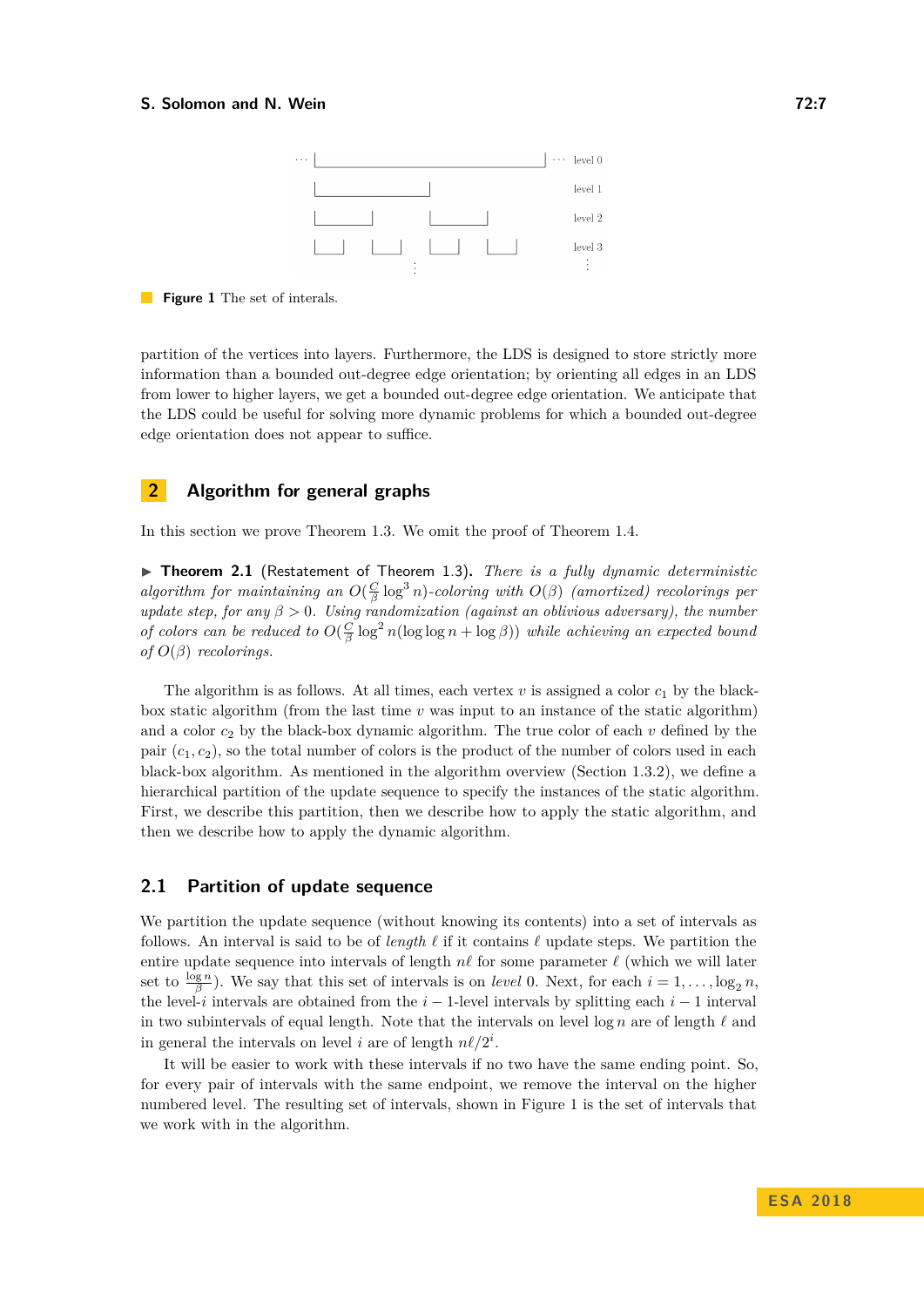#### <span id="page-6-0"></span>**S. Solomon and N. Wein** *Company Company Company* **<b>***COMPANY COMPANY COMPANY COMPANY COMPANY COMPANY COMPANY COMPANY COMPANY COMPANY COMPANY COMPANY COMPANY COMP*



**Figure 1** The set of interals.

partition of the vertices into layers. Furthermore, the LDS is designed to store strictly more information than a bounded out-degree edge orientation; by orienting all edges in an LDS from lower to higher layers, we get a bounded out-degree edge orientation. We anticipate that the LDS could be useful for solving more dynamic problems for which a bounded out-degree edge orientation does not appear to suffice.

# **2 Algorithm for general graphs**

In this section we prove Theorem [1.3.](#page-2-1) We omit the proof of Theorem [1.4.](#page-3-0)

▶ **Theorem 2.1** (Restatement of Theorem [1.3\)](#page-2-1). *There is a fully dynamic deterministic algorithm for maintaining an*  $O(\frac{C}{\beta}\log^3 n)$ -coloring with  $O(\beta)$  (amortized) recolorings per *update step, for any β >* 0*. Using randomization (against an oblivious adversary), the number of colors can be reduced to*  $O(\frac{C}{\beta} \log^2 n(\log \log n + \log \beta))$  *while achieving an expected bound of*  $O(\beta)$  *recolorings.* 

The algorithm is as follows. At all times, each vertex  $v$  is assigned a color  $c_1$  by the blackbox static algorithm (from the last time *v* was input to an instance of the static algorithm) and a color  $c_2$  by the black-box dynamic algorithm. The true color of each  $v$  defined by the pair  $(c_1, c_2)$ , so the total number of colors is the product of the number of colors used in each black-box algorithm. As mentioned in the algorithm overview (Section [1.3.2\)](#page-4-1), we define a hierarchical partition of the update sequence to specify the instances of the static algorithm. First, we describe this partition, then we describe how to apply the static algorithm, and then we describe how to apply the dynamic algorithm.

#### <span id="page-6-1"></span>**2.1 Partition of update sequence**

We partition the update sequence (without knowing its contents) into a set of intervals as follows. An interval is said to be of *length*  $\ell$  if it contains  $\ell$  update steps. We partition the entire update sequence into intervals of length  $n\ell$  for some parameter  $\ell$  (which we will later set to  $\frac{\log n}{\beta}$ ). We say that this set of intervals is on *level* 0. Next, for each  $i = 1, \ldots, \log_2 n$ , the level-*i* intervals are obtained from the  $i-1$ -level intervals by splitting each  $i-1$  interval in two subintervals of equal length. Note that the intervals on level  $\log n$  are of length  $\ell$  and in general the intervals on level *i* are of length  $n\ell/2^i$ .

It will be easier to work with these intervals if no two have the same ending point. So, for every pair of intervals with the same endpoint, we remove the interval on the higher numbered level. The resulting set of intervals, shown in Figure [1](#page-6-0) is the set of intervals that we work with in the algorithm.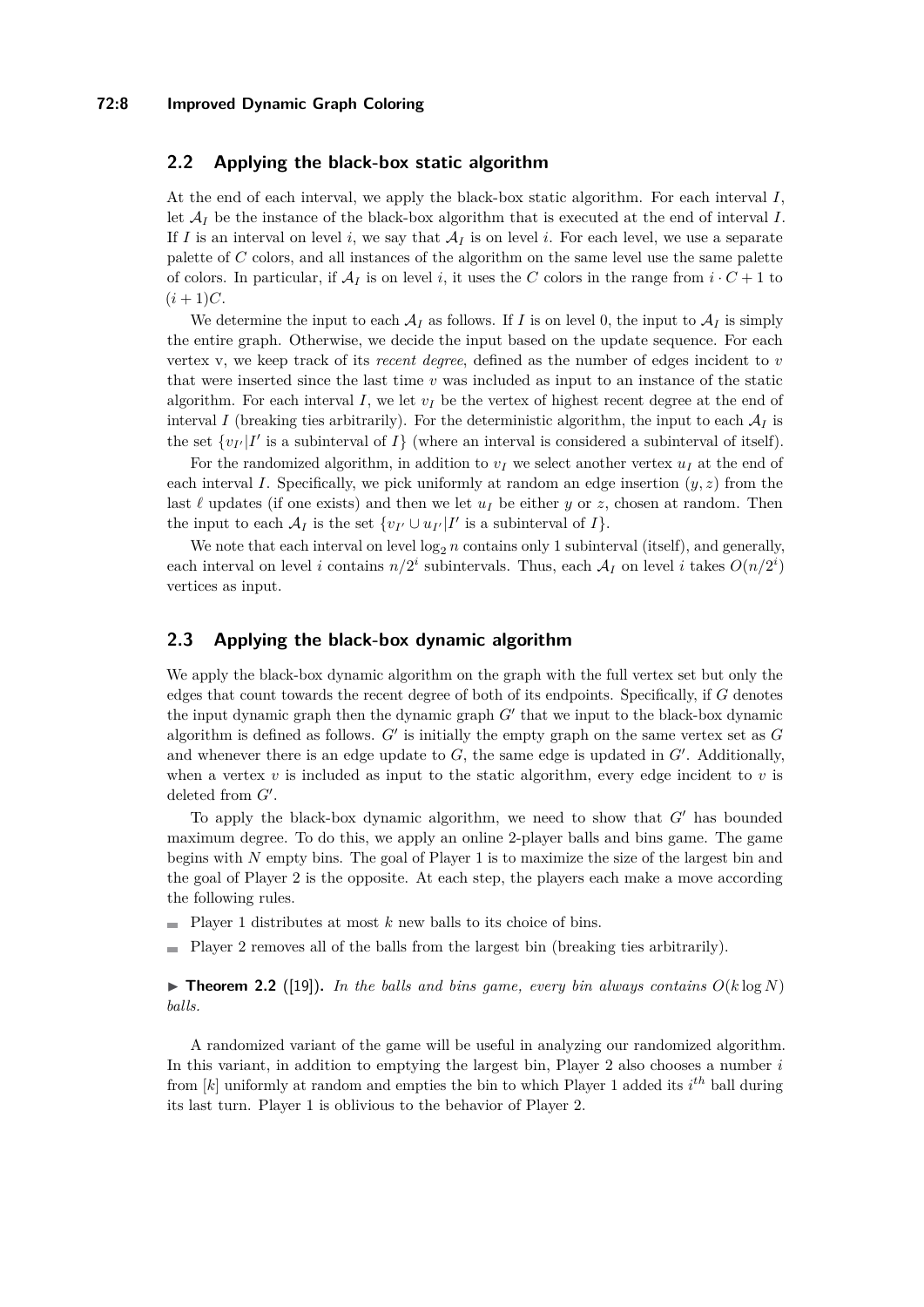#### **72:8 Improved Dynamic Graph Coloring**

## **2.2 Applying the black-box static algorithm**

At the end of each interval, we apply the black-box static algorithm. For each interval *I*, let  $A_I$  be the instance of the black-box algorithm that is executed at the end of interval  $I$ . If *I* is an interval on level *i*, we say that  $A_I$  is on level *i*. For each level, we use a separate palette of *C* colors, and all instances of the algorithm on the same level use the same palette of colors. In particular, if  $A_I$  is on level *i*, it uses the *C* colors in the range from  $i \cdot C + 1$  to  $(i + 1)C$ .

We determine the input to each  $A_I$  as follows. If *I* is on level 0, the input to  $A_I$  is simply the entire graph. Otherwise, we decide the input based on the update sequence. For each vertex v, we keep track of its *recent degree*, defined as the number of edges incident to *v* that were inserted since the last time *v* was included as input to an instance of the static algorithm. For each interval  $I$ , we let  $v_I$  be the vertex of highest recent degree at the end of interval *I* (breaking ties arbitrarily). For the deterministic algorithm, the input to each  $A_I$  is the set  $\{v_{I'}|I'$  is a subinterval of  $I\}$  (where an interval is considered a subinterval of itself).

For the randomized algorithm, in addition to  $v_I$  we select another vertex  $u_I$  at the end of each interval *I*. Specifically, we pick uniformly at random an edge insertion  $(y, z)$  from the last  $\ell$  updates (if one exists) and then we let  $u_I$  be either *y* or *z*, chosen at random. Then the input to each  $\mathcal{A}_I$  is the set  $\{v_{I'} \cup u_{I'} | I'$  is a subinterval of  $I\}.$ 

We note that each interval on level  $\log_2 n$  contains only 1 subinterval (itself), and generally, each interval on level *i* contains  $n/2^i$  subintervals. Thus, each  $A_I$  on level *i* takes  $O(n/2^i)$ vertices as input.

# **2.3 Applying the black-box dynamic algorithm**

We apply the black-box dynamic algorithm on the graph with the full vertex set but only the edges that count towards the recent degree of both of its endpoints. Specifically, if *G* denotes the input dynamic graph then the dynamic graph  $G'$  that we input to the black-box dynamic algorithm is defined as follows.  $G'$  is initially the empty graph on the same vertex set as  $G$ and whenever there is an edge update to  $G$ , the same edge is updated in  $G'$ . Additionally, when a vertex  $v$  is included as input to the static algorithm, every edge incident to  $v$  is deleted from  $G'$ .

To apply the black-box dynamic algorithm, we need to show that *G'* has bounded maximum degree. To do this, we apply an online 2-player balls and bins game. The game begins with *N* empty bins. The goal of Player 1 is to maximize the size of the largest bin and the goal of Player 2 is the opposite. At each step, the players each make a move according the following rules.

- Player 1 distributes at most *k* new balls to its choice of bins.  $\mathbf{r}$
- Player 2 removes all of the balls from the largest bin (breaking ties arbitrarily).

<span id="page-7-0"></span> $\triangleright$  **Theorem 2.2** ([\[19\]](#page-13-13)). In the balls and bins game, every bin always contains  $O(k \log N)$ *balls.*

A randomized variant of the game will be useful in analyzing our randomized algorithm. In this variant, in addition to emptying the largest bin, Player 2 also chooses a number *i* from [*k*] uniformly at random and empties the bin to which Player 1 added its *i th* ball during its last turn. Player 1 is oblivious to the behavior of Player 2.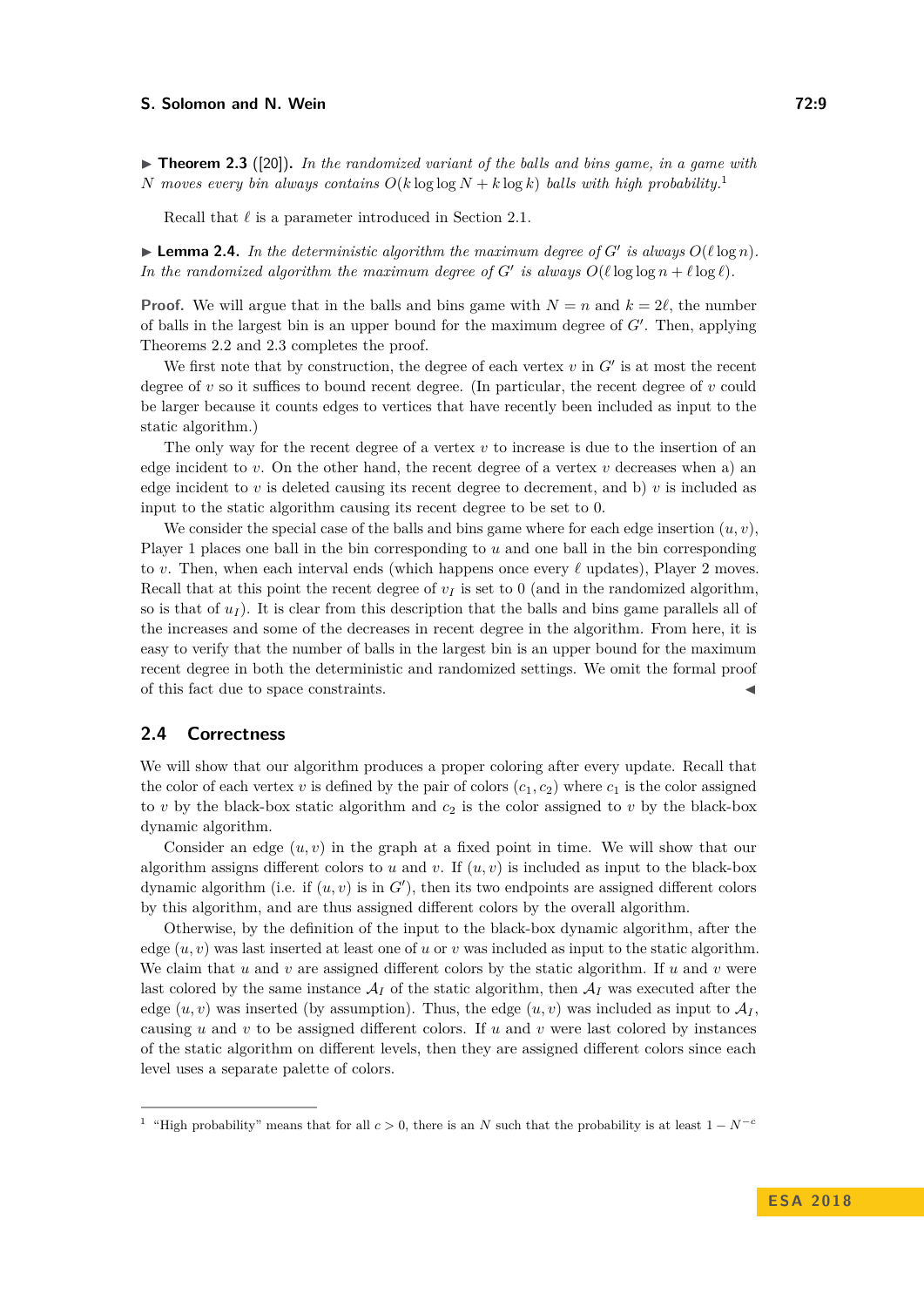#### **S. Solomon and N. Wein** *Company Company Company* **<b>***Company Company COMPany COMPany COMPany COMPany COMPany COMPany COMPany COMPany COMPany COMPany COMPany COMP*

<span id="page-8-1"></span> $\triangleright$  **Theorem 2.3** ([\[20\]](#page-13-14)). In the randomized variant of the balls and bins game, in a game with *N* moves every bin always contains  $O(k \log \log N + k \log k)$  balls with high probability.<sup>[1](#page-8-0)</sup>

Recall that  $\ell$  is a parameter introduced in Section [2.1.](#page-6-1)

<span id="page-8-2"></span> $\blacktriangleright$  **Lemma 2.4.** In the deterministic algorithm the maximum degree of *G'* is always  $O(\ell \log n)$ . *In the randomized algorithm the maximum degree of*  $G'$  *is always*  $O(\ell \log \log n + \ell \log \ell)$ *.* 

**Proof.** We will argue that in the balls and bins game with  $N = n$  and  $k = 2\ell$ , the number of balls in the largest bin is an upper bound for the maximum degree of  $G'$ . Then, applying Theorems [2.2](#page-7-0) and [2.3](#page-8-1) completes the proof.

We first note that by construction, the degree of each vertex  $v$  in  $G'$  is at most the recent degree of  $v$  so it suffices to bound recent degree. (In particular, the recent degree of  $v$  could be larger because it counts edges to vertices that have recently been included as input to the static algorithm.)

The only way for the recent degree of a vertex *v* to increase is due to the insertion of an edge incident to  $v$ . On the other hand, the recent degree of a vertex  $v$  decreases when a) an edge incident to  $v$  is deleted causing its recent degree to decrement, and b)  $v$  is included as input to the static algorithm causing its recent degree to be set to 0.

We consider the special case of the balls and bins game where for each edge insertion  $(u, v)$ , Player 1 places one ball in the bin corresponding to *u* and one ball in the bin corresponding to *v*. Then, when each interval ends (which happens once every  $\ell$  updates), Player 2 moves. Recall that at this point the recent degree of  $v_I$  is set to 0 (and in the randomized algorithm, so is that of  $u_I$ ). It is clear from this description that the balls and bins game parallels all of the increases and some of the decreases in recent degree in the algorithm. From here, it is easy to verify that the number of balls in the largest bin is an upper bound for the maximum recent degree in both the deterministic and randomized settings. We omit the formal proof of this fact due to space constraints. J

## **2.4 Correctness**

We will show that our algorithm produces a proper coloring after every update. Recall that the color of each vertex *v* is defined by the pair of colors  $(c_1, c_2)$  where  $c_1$  is the color assigned to  $v$  by the black-box static algorithm and  $c_2$  is the color assigned to  $v$  by the black-box dynamic algorithm.

Consider an edge  $(u, v)$  in the graph at a fixed point in time. We will show that our algorithm assigns different colors to *u* and *v*. If  $(u, v)$  is included as input to the black-box dynamic algorithm (i.e. if  $(u, v)$  is in  $G'$ ), then its two endpoints are assigned different colors by this algorithm, and are thus assigned different colors by the overall algorithm.

Otherwise, by the definition of the input to the black-box dynamic algorithm, after the edge  $(u, v)$  was last inserted at least one of *u* or *v* was included as input to the static algorithm. We claim that  $u$  and  $v$  are assigned different colors by the static algorithm. If  $u$  and  $v$  were last colored by the same instance  $\mathcal{A}_I$  of the static algorithm, then  $\mathcal{A}_I$  was executed after the edge  $(u, v)$  was inserted (by assumption). Thus, the edge  $(u, v)$  was included as input to  $\mathcal{A}_I$ , causing *u* and *v* to be assigned different colors. If *u* and *v* were last colored by instances of the static algorithm on different levels, then they are assigned different colors since each level uses a separate palette of colors.

<span id="page-8-0"></span><sup>&</sup>lt;sup>1</sup> "High probability" means that for all  $c > 0$ , there is an *N* such that the probability is at least  $1 - N^{-c}$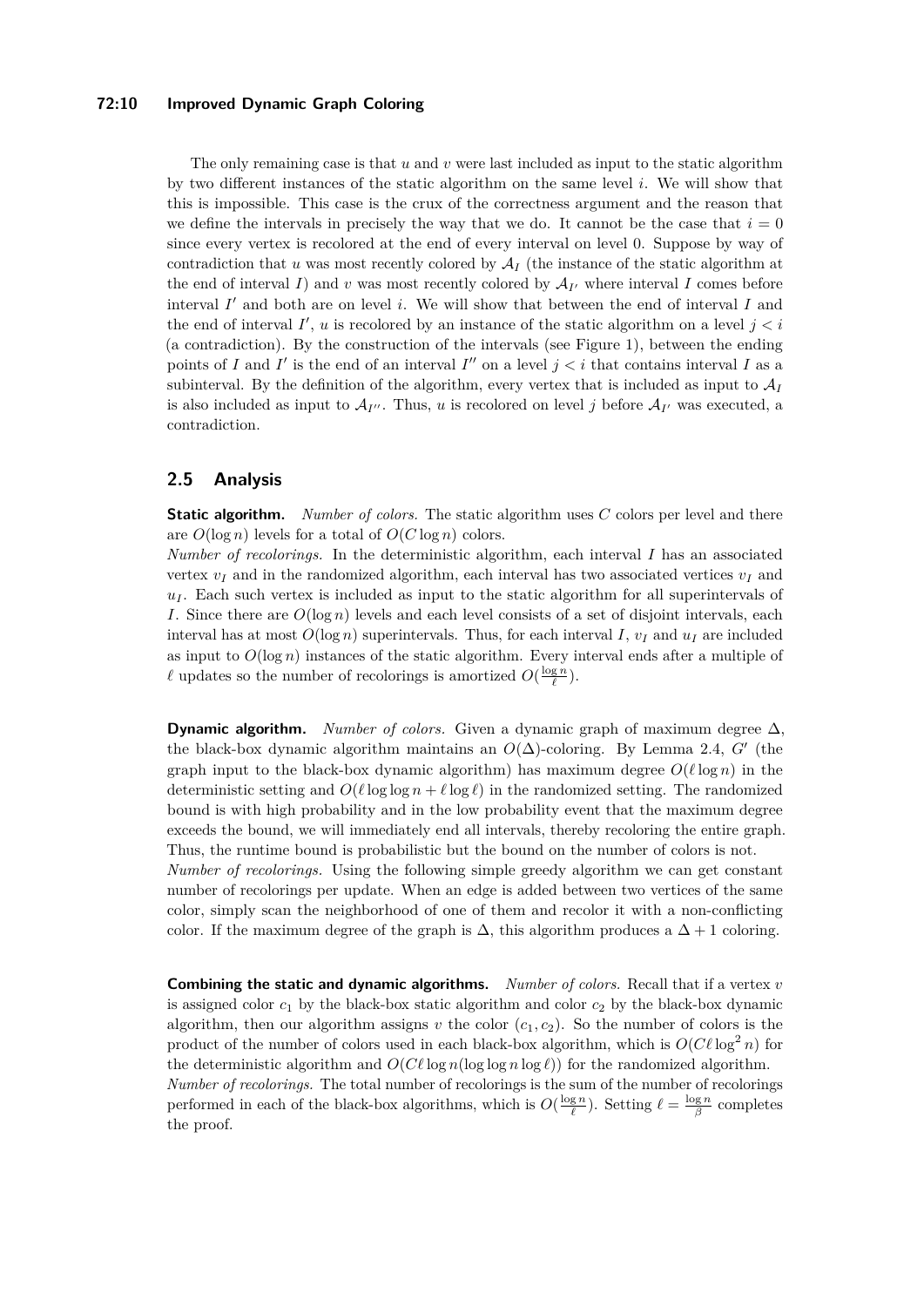#### **72:10 Improved Dynamic Graph Coloring**

The only remaining case is that *u* and *v* were last included as input to the static algorithm by two different instances of the static algorithm on the same level *i*. We will show that this is impossible. This case is the crux of the correctness argument and the reason that we define the intervals in precisely the way that we do. It cannot be the case that  $i = 0$ since every vertex is recolored at the end of every interval on level 0. Suppose by way of contradiction that *u* was most recently colored by  $A_I$  (the instance of the static algorithm at the end of interval *I*) and *v* was most recently colored by  $A_{I'}$  where interval *I* comes before interval  $I'$  and both are on level  $i$ . We will show that between the end of interval  $I$  and the end of interval  $I'$ ,  $u$  is recolored by an instance of the static algorithm on a level  $j < i$ (a contradiction). By the construction of the intervals (see Figure [1\)](#page-6-0), between the ending points of *I* and *I'* is the end of an interval *I''* on a level  $j < i$  that contains interval *I* as a subinterval. By the definition of the algorithm, every vertex that is included as input to  $A_I$ is also included as input to  $\mathcal{A}_{I''}$ . Thus, *u* is recolored on level *j* before  $\mathcal{A}_{I'}$  was executed, a contradiction.

#### **2.5 Analysis**

**Static algorithm.** *Number of colors.* The static algorithm uses *C* colors per level and there are  $O(\log n)$  levels for a total of  $O(C \log n)$  colors.

*Number of recolorings.* In the deterministic algorithm, each interval *I* has an associated vertex  $v_I$  and in the randomized algorithm, each interval has two associated vertices  $v_I$  and *u<sup>I</sup>* . Each such vertex is included as input to the static algorithm for all superintervals of *I*. Since there are  $O(\log n)$  levels and each level consists of a set of disjoint intervals, each interval has at most  $O(\log n)$  superintervals. Thus, for each interval *I*,  $v_I$  and  $u_I$  are included as input to  $O(\log n)$  instances of the static algorithm. Every interval ends after a multiple of  $\ell$  updates so the number of recolorings is amortized  $O(\frac{\log n}{\ell})$ .

**Dynamic algorithm.** *Number of colors.* Given a dynamic graph of maximum degree  $\Delta$ , the black-box dynamic algorithm maintains an  $O(\Delta)$ -coloring. By Lemma [2.4,](#page-8-2) *G*<sup> $\prime$ </sup> (the graph input to the black-box dynamic algorithm) has maximum degree  $O(\ell \log n)$  in the deterministic setting and  $O(\ell \log \log n + \ell \log \ell)$  in the randomized setting. The randomized bound is with high probability and in the low probability event that the maximum degree exceeds the bound, we will immediately end all intervals, thereby recoloring the entire graph. Thus, the runtime bound is probabilistic but the bound on the number of colors is not.

*Number of recolorings.* Using the following simple greedy algorithm we can get constant number of recolorings per update. When an edge is added between two vertices of the same color, simply scan the neighborhood of one of them and recolor it with a non-conflicting color. If the maximum degree of the graph is  $\Delta$ , this algorithm produces a  $\Delta + 1$  coloring.

**Combining the static and dynamic algorithms.** *Number of colors.* Recall that if a vertex *v* is assigned color  $c_1$  by the black-box static algorithm and color  $c_2$  by the black-box dynamic algorithm, then our algorithm assigns  $v$  the color  $(c_1, c_2)$ . So the number of colors is the product of the number of colors used in each black-box algorithm, which is  $O(C\ell \log^2 n)$  for the deterministic algorithm and  $O(C\ell \log n (\log \log n \log \ell))$  for the randomized algorithm. *Number of recolorings.* The total number of recolorings is the sum of the number of recolorings performed in each of the black-box algorithms, which is  $O(\frac{\log n}{\ell})$ . Setting  $\ell = \frac{\log n}{\beta}$  completes

the proof.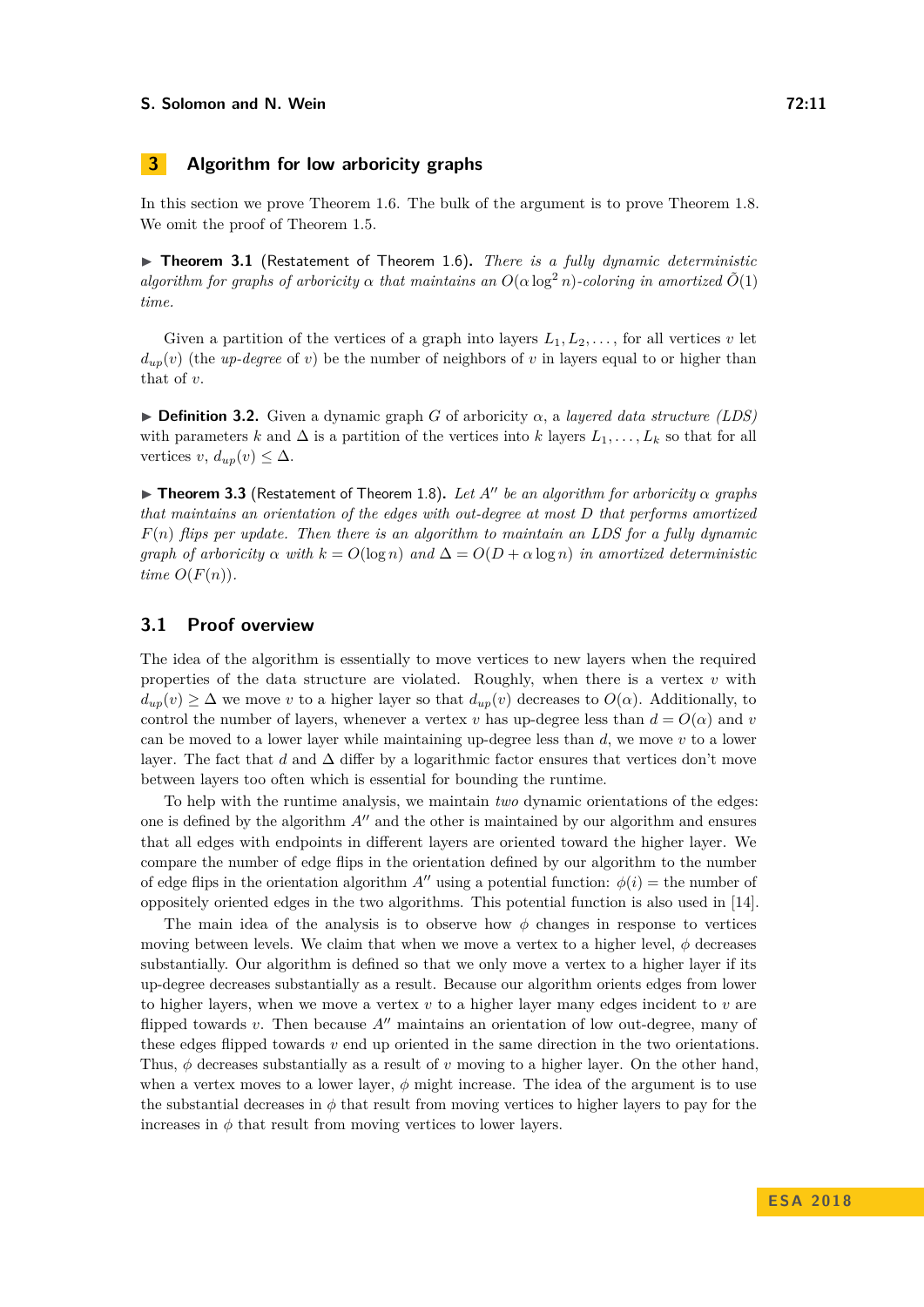#### **S. Solomon and N. Wein 12:11 12:11 12:11**

# **3 Algorithm for low arboricity graphs**

In this section we prove Theorem [1.6.](#page-3-1) The bulk of the argument is to prove Theorem [1.8.](#page-4-2) We omit the proof of Theorem [1.5.](#page-3-2)

▶ Theorem 3.1 (Restatement of Theorem [1.6\)](#page-3-1). *There is a fully dynamic deterministic algorithm for graphs of arboricity*  $\alpha$  *that maintains an*  $O(\alpha \log^2 n)$ *-coloring in amortized*  $\tilde{O}(1)$ *time.*

Given a partition of the vertices of a graph into layers  $L_1, L_2, \ldots$ , for all vertices  $v$  let  $d_{up}(v)$  (the *up-degree* of *v*) be the number of neighbors of *v* in layers equal to or higher than that of *v*.

**Definition 3.2.** Given a dynamic graph *G* of arboricity  $\alpha$ , a *layered data structure (LDS)* with parameters *k* and  $\Delta$  is a partition of the vertices into *k* layers  $L_1, \ldots, L_k$  so that for all vertices *v*,  $d_{up}(v) \leq \Delta$ .

 $\triangleright$  **Theorem 3.3** (Restatement of Theorem [1.8\)](#page-4-2). Let A<sup>n</sup> be an algorithm for arboricity  $\alpha$  graphs *that maintains an orientation of the edges with out-degree at most D that performs amortized F*(*n*) *flips per update. Then there is an algorithm to maintain an LDS for a fully dynamic graph of arboricity*  $\alpha$  *with*  $k = O(\log n)$  *and*  $\Delta = O(D + \alpha \log n)$  *in amortized deterministic time*  $O(F(n))$ *.* 

# <span id="page-10-0"></span>**3.1 Proof overview**

The idea of the algorithm is essentially to move vertices to new layers when the required properties of the data structure are violated. Roughly, when there is a vertex *v* with  $d_{up}(v) \geq \Delta$  we move *v* to a higher layer so that  $d_{up}(v)$  decreases to  $O(\alpha)$ . Additionally, to control the number of layers, whenever a vertex *v* has up-degree less than  $d = O(\alpha)$  and *v* can be moved to a lower layer while maintaining up-degree less than *d*, we move *v* to a lower layer. The fact that *d* and  $\Delta$  differ by a logarithmic factor ensures that vertices don't move between layers too often which is essential for bounding the runtime.

To help with the runtime analysis, we maintain *two* dynamic orientations of the edges: one is defined by the algorithm  $A<sup>0</sup>$  and the other is maintained by our algorithm and ensures that all edges with endpoints in different layers are oriented toward the higher layer. We compare the number of edge flips in the orientation defined by our algorithm to the number of edge flips in the orientation algorithm  $A^{\prime\prime}$  using a potential function:  $\phi(i)$  = the number of oppositely oriented edges in the two algorithms. This potential function is also used in [\[14\]](#page-13-1).

The main idea of the analysis is to observe how  $\phi$  changes in response to vertices moving between levels. We claim that when we move a vertex to a higher level,  $\phi$  decreases substantially. Our algorithm is defined so that we only move a vertex to a higher layer if its up-degree decreases substantially as a result. Because our algorithm orients edges from lower to higher layers, when we move a vertex *v* to a higher layer many edges incident to *v* are flipped towards  $v$ . Then because  $A^{\prime\prime}$  maintains an orientation of low out-degree, many of these edges flipped towards *v* end up oriented in the same direction in the two orientations. Thus,  $\phi$  decreases substantially as a result of *v* moving to a higher layer. On the other hand, when a vertex moves to a lower layer,  $\phi$  might increase. The idea of the argument is to use the substantial decreases in  $\phi$  that result from moving vertices to higher layers to pay for the increases in  $\phi$  that result from moving vertices to lower layers.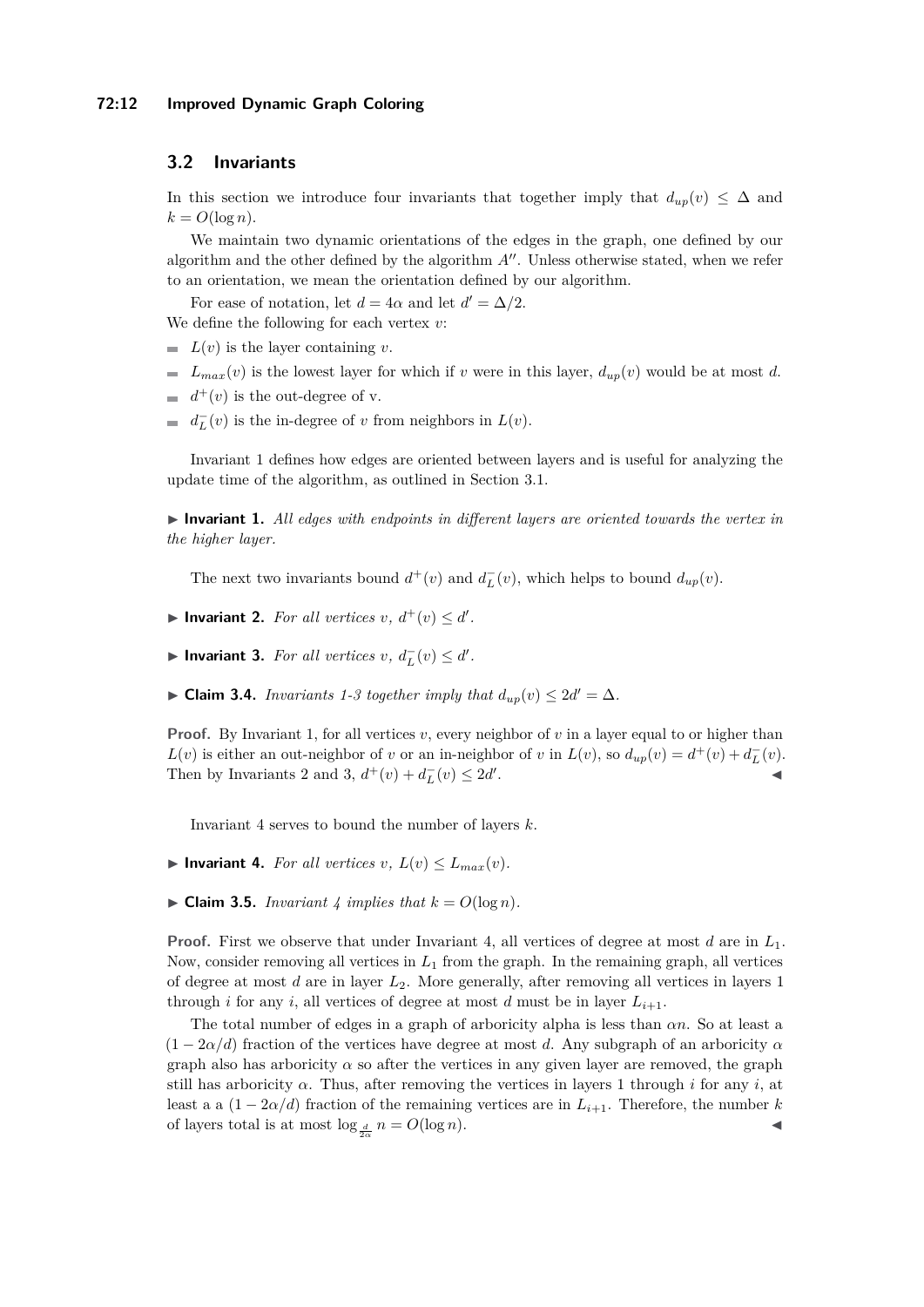#### **72:12 Improved Dynamic Graph Coloring**

## **3.2 Invariants**

In this section we introduce four invariants that together imply that  $d_{up}(v) \leq \Delta$  and  $k = O(\log n)$ .

We maintain two dynamic orientations of the edges in the graph, one defined by our algorithm and the other defined by the algorithm  $A^{\prime\prime}$ . Unless otherwise stated, when we refer to an orientation, we mean the orientation defined by our algorithm.

For ease of notation, let  $d = 4\alpha$  and let  $d' = \Delta/2$ . We define the following for each vertex *v*:

- $L(v)$  is the layer containing *v*.
- $\blacksquare$  *L*<sub>max</sub>(*v*) is the lowest layer for which if *v* were in this layer,  $d_{up}(v)$  would be at most *d*.
- $d^+(v)$  is the out-degree of v.
- $d_L^-(v)$  is the in-degree of *v* from neighbors in  $L(v)$ .

Invariant [1](#page-11-0) defines how edges are oriented between layers and is useful for analyzing the update time of the algorithm, as outlined in Section [3.1.](#page-10-0)

<span id="page-11-0"></span> $\triangleright$  **Invariant 1.** All edges with endpoints in different layers are oriented towards the vertex in *the higher layer.*

The next two invariants bound  $d^+(v)$  and  $d^-_L(v)$ , which helps to bound  $d_{up}(v)$ .

- <span id="page-11-2"></span>▶ Invariant 2. *For all vertices*  $v, d^+(v) ≤ d'$ .
- <span id="page-11-1"></span>▶ **Invariant 3.** *For all vertices*  $v, d^-_L(v) \leq d'$ *.*
- ▶ **Claim [3](#page-11-1).4.** *Invariants* [1-](#page-11-0)3 *together imply that*  $d_{up}(v) \leq 2d' = \Delta$ *.*

**Proof.** By Invariant [1,](#page-11-0) for all vertices  $v$ , every neighbor of  $v$  in a layer equal to or higher than *L*(*v*) is either an out-neighbor of *v* or an in-neighbor of *v* in  $L(v)$ , so  $d_{up}(v) = d^+(v) + d^-_L(v)$ . Then by Invariants [2](#page-11-2) and [3,](#page-11-1)  $d^+(v) + d^-_L(v) \leq 2d'$ . J

Invariant [4](#page-11-3) serves to bound the number of layers *k*.

- <span id="page-11-3"></span> $\blacktriangleright$  **Invariant 4.** For all vertices  $v, L(v) \leq L_{max}(v)$ .
- $\blacktriangleright$  **Claim 3.5.** *Invariant* [4](#page-11-3) *implies that*  $k = O(\log n)$ *.*

**Proof.** First we observe that under Invariant [4,](#page-11-3) all vertices of degree at most *d* are in *L*1. Now, consider removing all vertices in *L*<sup>1</sup> from the graph. In the remaining graph, all vertices of degree at most *d* are in layer *L*2. More generally, after removing all vertices in layers 1 through *i* for any *i*, all vertices of degree at most *d* must be in layer  $L_{i+1}$ .

The total number of edges in a graph of arboricity alpha is less than *αn*. So at least a  $(1 - 2\alpha/d)$  fraction of the vertices have degree at most *d*. Any subgraph of an arboricity  $\alpha$ graph also has arboricity  $\alpha$  so after the vertices in any given layer are removed, the graph still has arboricity  $\alpha$ . Thus, after removing the vertices in layers 1 through *i* for any *i*, at least a a  $(1 - 2\alpha/d)$  fraction of the remaining vertices are in  $L_{i+1}$ . Therefore, the number k of layers total is at most  $\log_{\frac{d}{2\alpha}} n = O(\log n)$ .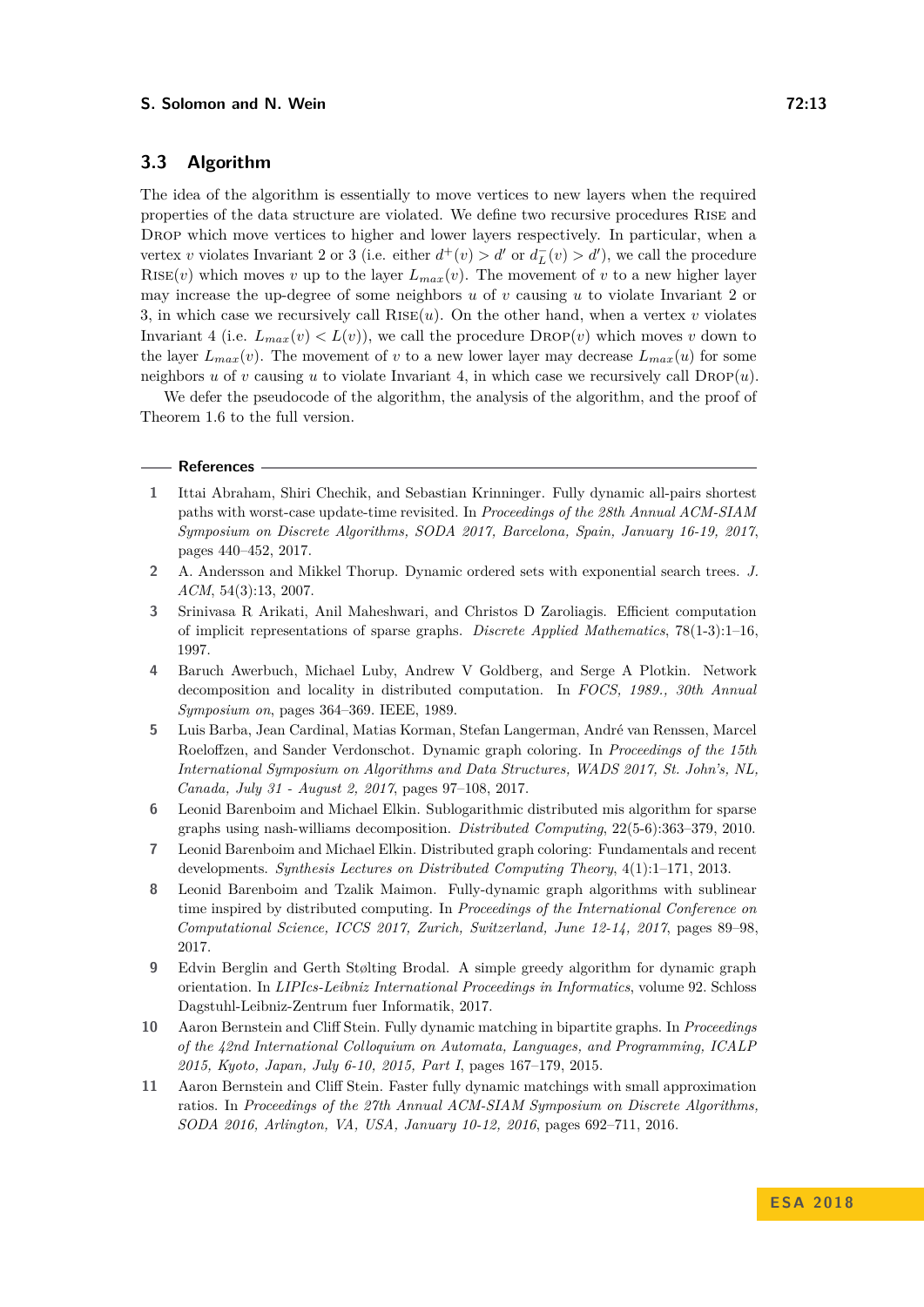# **3.3 Algorithm**

The idea of the algorithm is essentially to move vertices to new layers when the required properties of the data structure are violated. We define two recursive procedures Rise and DROP which move vertices to higher and lower layers respectively. In particular, when a vertex *v* violates Invariant [2](#page-11-2) or [3](#page-11-1) (i.e. either  $d^+(v) > d'$  or  $d^-_L(v) > d'$ ), we call the procedure RISE(*v*) which moves *v* up to the layer  $L_{max}(v)$ . The movement of *v* to a new higher layer may increase the up-degree of some neighbors *u* of *v* causing *u* to violate Invariant [2](#page-11-2) or [3,](#page-11-1) in which case we recursively call  $RISE(u)$ . On the other hand, when a vertex *v* violates Invariant [4](#page-11-3) (i.e.  $L_{max}(v) < L(v)$ ), we call the procedure  $\text{DROP}(v)$  which moves v down to the layer  $L_{max}(v)$ . The movement of *v* to a new lower layer may decrease  $L_{max}(u)$  for some neighbors *u* of *v* causing *u* to violate Invariant [4,](#page-11-3) in which case we recursively call  $\text{DROP}(u)$ .

We defer the pseudocode of the algorithm, the analysis of the algorithm, and the proof of Theorem [1.6](#page-3-1) to the full version.

#### **References**

- <span id="page-12-7"></span>**1** Ittai Abraham, Shiri Chechik, and Sebastian Krinninger. Fully dynamic all-pairs shortest paths with worst-case update-time revisited. In *Proceedings of the 28th Annual ACM-SIAM Symposium on Discrete Algorithms, SODA 2017, Barcelona, Spain, January 16-19, 2017*, pages 440–452, 2017.
- <span id="page-12-8"></span>**2** A. Andersson and Mikkel Thorup. Dynamic ordered sets with exponential search trees. *J. ACM*, 54(3):13, 2007.
- <span id="page-12-9"></span>**3** Srinivasa R Arikati, Anil Maheshwari, and Christos D Zaroliagis. Efficient computation of implicit representations of sparse graphs. *Discrete Applied Mathematics*, 78(1-3):1–16, 1997.
- <span id="page-12-2"></span>**4** Baruch Awerbuch, Michael Luby, Andrew V Goldberg, and Serge A Plotkin. Network decomposition and locality in distributed computation. In *FOCS, 1989., 30th Annual Symposium on*, pages 364–369. IEEE, 1989.
- <span id="page-12-4"></span>**5** Luis Barba, Jean Cardinal, Matias Korman, Stefan Langerman, André van Renssen, Marcel Roeloffzen, and Sander Verdonschot. Dynamic graph coloring. In *Proceedings of the 15th International Symposium on Algorithms and Data Structures, WADS 2017, St. John's, NL, Canada, July 31 - August 2, 2017*, pages 97–108, 2017.
- <span id="page-12-10"></span>**6** Leonid Barenboim and Michael Elkin. Sublogarithmic distributed mis algorithm for sparse graphs using nash-williams decomposition. *Distributed Computing*, 22(5-6):363–379, 2010.
- <span id="page-12-3"></span>**7** Leonid Barenboim and Michael Elkin. Distributed graph coloring: Fundamentals and recent developments. *Synthesis Lectures on Distributed Computing Theory*, 4(1):1–171, 2013.
- <span id="page-12-5"></span>**8** Leonid Barenboim and Tzalik Maimon. Fully-dynamic graph algorithms with sublinear time inspired by distributed computing. In *Proceedings of the International Conference on Computational Science, ICCS 2017, Zurich, Switzerland, June 12-14, 2017*, pages 89–98, 2017.
- <span id="page-12-6"></span>**9** Edvin Berglin and Gerth Stølting Brodal. A simple greedy algorithm for dynamic graph orientation. In *LIPIcs-Leibniz International Proceedings in Informatics*, volume 92. Schloss Dagstuhl-Leibniz-Zentrum fuer Informatik, 2017.
- <span id="page-12-0"></span>**10** Aaron Bernstein and Cliff Stein. Fully dynamic matching in bipartite graphs. In *Proceedings of the 42nd International Colloquium on Automata, Languages, and Programming, ICALP 2015, Kyoto, Japan, July 6-10, 2015, Part I*, pages 167–179, 2015.
- <span id="page-12-1"></span>**11** Aaron Bernstein and Cliff Stein. Faster fully dynamic matchings with small approximation ratios. In *Proceedings of the 27th Annual ACM-SIAM Symposium on Discrete Algorithms, SODA 2016, Arlington, VA, USA, January 10-12, 2016*, pages 692–711, 2016.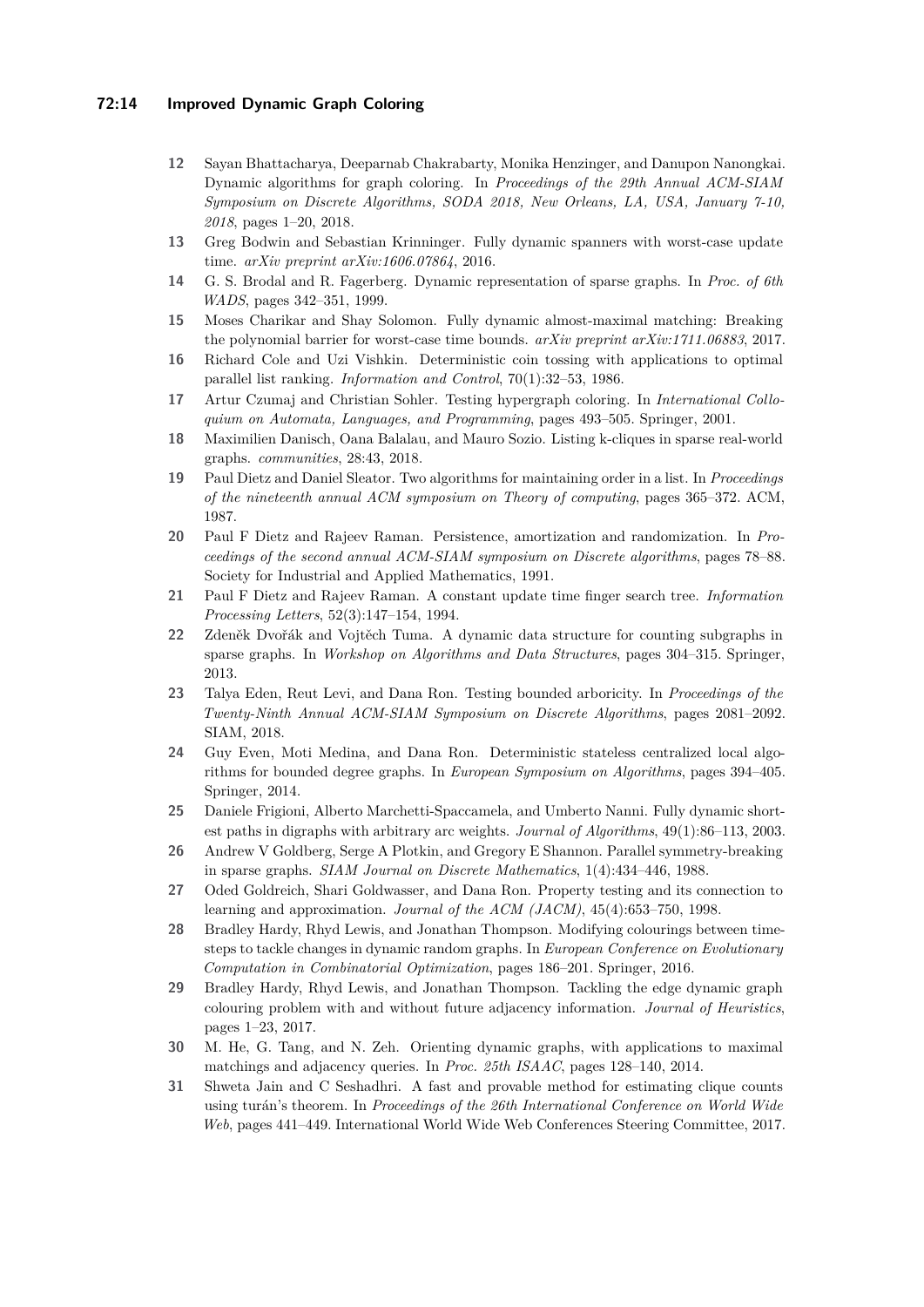## **72:14 Improved Dynamic Graph Coloring**

- <span id="page-13-9"></span>**12** Sayan Bhattacharya, Deeparnab Chakrabarty, Monika Henzinger, and Danupon Nanongkai. Dynamic algorithms for graph coloring. In *Proceedings of the 29th Annual ACM-SIAM Symposium on Discrete Algorithms, SODA 2018, New Orleans, LA, USA, January 7-10, 2018*, pages 1–20, 2018.
- <span id="page-13-12"></span>**13** Greg Bodwin and Sebastian Krinninger. Fully dynamic spanners with worst-case update time. *arXiv preprint arXiv:1606.07864*, 2016.
- <span id="page-13-1"></span>**14** G. S. Brodal and R. Fagerberg. Dynamic representation of sparse graphs. In *Proc. of 6th WADS*, pages 342–351, 1999.
- <span id="page-13-15"></span>**15** Moses Charikar and Shay Solomon. Fully dynamic almost-maximal matching: Breaking the polynomial barrier for worst-case time bounds. *arXiv preprint arXiv:1711.06883*, 2017.
- <span id="page-13-2"></span>**16** Richard Cole and Uzi Vishkin. Deterministic coin tossing with applications to optimal parallel list ranking. *Information and Control*, 70(1):32–53, 1986.
- <span id="page-13-5"></span>**17** Artur Czumaj and Christian Sohler. Testing hypergraph coloring. In *International Colloquium on Automata, Languages, and Programming*, pages 493–505. Springer, 2001.
- <span id="page-13-19"></span>**18** Maximilien Danisch, Oana Balalau, and Mauro Sozio. Listing k-cliques in sparse real-world graphs. *communities*, 28:43, 2018.
- <span id="page-13-13"></span>**19** Paul Dietz and Daniel Sleator. Two algorithms for maintaining order in a list. In *Proceedings of the nineteenth annual ACM symposium on Theory of computing*, pages 365–372. ACM, 1987.
- <span id="page-13-14"></span>**20** Paul F Dietz and Rajeev Raman. Persistence, amortization and randomization. In *Proceedings of the second annual ACM-SIAM symposium on Discrete algorithms*, pages 78–88. Society for Industrial and Applied Mathematics, 1991.
- <span id="page-13-16"></span>**21** Paul F Dietz and Rajeev Raman. A constant update time finger search tree. *Information Processing Letters*, 52(3):147–154, 1994.
- <span id="page-13-11"></span>**22** Zdeněk Dvořák and Vojtěch Tuma. A dynamic data structure for counting subgraphs in sparse graphs. In *Workshop on Algorithms and Data Structures*, pages 304–315. Springer, 2013.
- <span id="page-13-17"></span>**23** Talya Eden, Reut Levi, and Dana Ron. Testing bounded arboricity. In *Proceedings of the Twenty-Ninth Annual ACM-SIAM Symposium on Discrete Algorithms*, pages 2081–2092. SIAM, 2018.
- <span id="page-13-6"></span>**24** Guy Even, Moti Medina, and Dana Ron. Deterministic stateless centralized local algorithms for bounded degree graphs. In *European Symposium on Algorithms*, pages 394–405. Springer, 2014.
- <span id="page-13-0"></span>**25** Daniele Frigioni, Alberto Marchetti-Spaccamela, and Umberto Nanni. Fully dynamic shortest paths in digraphs with arbitrary arc weights. *Journal of Algorithms*, 49(1):86–113, 2003.
- <span id="page-13-3"></span>**26** Andrew V Goldberg, Serge A Plotkin, and Gregory E Shannon. Parallel symmetry-breaking in sparse graphs. *SIAM Journal on Discrete Mathematics*, 1(4):434–446, 1988.
- <span id="page-13-4"></span>**27** Oded Goldreich, Shari Goldwasser, and Dana Ron. Property testing and its connection to learning and approximation. *Journal of the ACM (JACM)*, 45(4):653–750, 1998.
- <span id="page-13-8"></span>**28** Bradley Hardy, Rhyd Lewis, and Jonathan Thompson. Modifying colourings between timesteps to tackle changes in dynamic random graphs. In *European Conference on Evolutionary Computation in Combinatorial Optimization*, pages 186–201. Springer, 2016.
- <span id="page-13-7"></span>**29** Bradley Hardy, Rhyd Lewis, and Jonathan Thompson. Tackling the edge dynamic graph colouring problem with and without future adjacency information. *Journal of Heuristics*, pages 1–23, 2017.
- <span id="page-13-10"></span>**30** M. He, G. Tang, and N. Zeh. Orienting dynamic graphs, with applications to maximal matchings and adjacency queries. In *Proc. 25th ISAAC*, pages 128–140, 2014.
- <span id="page-13-18"></span>**31** Shweta Jain and C Seshadhri. A fast and provable method for estimating clique counts using turán's theorem. In *Proceedings of the 26th International Conference on World Wide Web*, pages 441–449. International World Wide Web Conferences Steering Committee, 2017.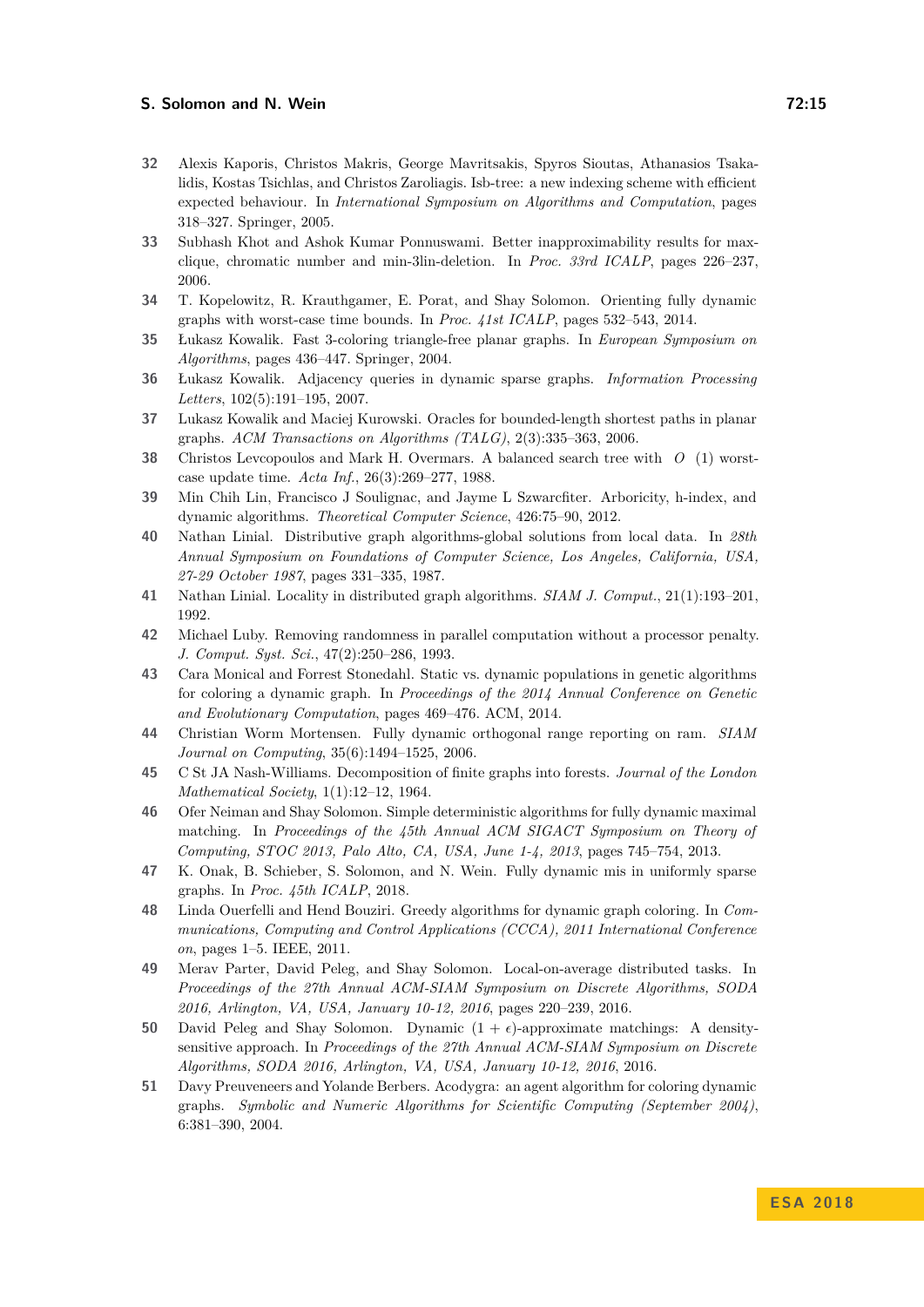#### **S. Solomon and N. Wein 12:15**

- <span id="page-14-19"></span>**32** Alexis Kaporis, Christos Makris, George Mavritsakis, Spyros Sioutas, Athanasios Tsakalidis, Kostas Tsichlas, and Christos Zaroliagis. Isb-tree: a new indexing scheme with efficient expected behaviour. In *International Symposium on Algorithms and Computation*, pages 318–327. Springer, 2005.
- <span id="page-14-4"></span>**33** Subhash Khot and Ashok Kumar Ponnuswami. Better inapproximability results for maxclique, chromatic number and min-3lin-deletion. In *Proc. 33rd ICALP*, pages 226–237, 2006.
- <span id="page-14-14"></span>**34** T. Kopelowitz, R. Krauthgamer, E. Porat, and Shay Solomon. Orienting fully dynamic graphs with worst-case time bounds. In *Proc. 41st ICALP*, pages 532–543, 2014.
- <span id="page-14-16"></span>**35** Łukasz Kowalik. Fast 3-coloring triangle-free planar graphs. In *European Symposium on Algorithms*, pages 436–447. Springer, 2004.
- <span id="page-14-13"></span>**36** Łukasz Kowalik. Adjacency queries in dynamic sparse graphs. *Information Processing Letters*, 102(5):191–195, 2007.
- <span id="page-14-15"></span>**37** Lukasz Kowalik and Maciej Kurowski. Oracles for bounded-length shortest paths in planar graphs. *ACM Transactions on Algorithms (TALG)*, 2(3):335–363, 2006.
- <span id="page-14-17"></span>**38** Christos Levcopoulos and Mark H. Overmars. A balanced search tree with *O* (1) worstcase update time. *Acta Inf.*, 26(3):269–277, 1988.
- <span id="page-14-3"></span>**39** Min Chih Lin, Francisco J Soulignac, and Jayme L Szwarcfiter. Arboricity, h-index, and dynamic algorithms. *Theoretical Computer Science*, 426:75–90, 2012.
- <span id="page-14-5"></span>**40** Nathan Linial. Distributive graph algorithms-global solutions from local data. In *28th Annual Symposium on Foundations of Computer Science, Los Angeles, California, USA, 27-29 October 1987*, pages 331–335, 1987.
- <span id="page-14-6"></span>**41** Nathan Linial. Locality in distributed graph algorithms. *SIAM J. Comput.*, 21(1):193–201, 1992.
- <span id="page-14-7"></span>**42** Michael Luby. Removing randomness in parallel computation without a processor penalty. *J. Comput. Syst. Sci.*, 47(2):250–286, 1993.
- <span id="page-14-8"></span>**43** Cara Monical and Forrest Stonedahl. Static vs. dynamic populations in genetic algorithms for coloring a dynamic graph. In *Proceedings of the 2014 Annual Conference on Genetic and Evolutionary Computation*, pages 469–476. ACM, 2014.
- <span id="page-14-18"></span>**44** Christian Worm Mortensen. Fully dynamic orthogonal range reporting on ram. *SIAM Journal on Computing*, 35(6):1494–1525, 2006.
- <span id="page-14-12"></span>**45** C St JA Nash-Williams. Decomposition of finite graphs into forests. *Journal of the London Mathematical Society*, 1(1):12–12, 1964.
- <span id="page-14-1"></span>**46** Ofer Neiman and Shay Solomon. Simple deterministic algorithms for fully dynamic maximal matching. In *Proceedings of the 45th Annual ACM SIGACT Symposium on Theory of Computing, STOC 2013, Palo Alto, CA, USA, June 1-4, 2013*, pages 745–754, 2013.
- <span id="page-14-2"></span>**47** K. Onak, B. Schieber, S. Solomon, and N. Wein. Fully dynamic mis in uniformly sparse graphs. In *Proc. 45th ICALP*, 2018.
- <span id="page-14-10"></span>**48** Linda Ouerfelli and Hend Bouziri. Greedy algorithms for dynamic graph coloring. In *Communications, Computing and Control Applications (CCCA), 2011 International Conference on*, pages 1–5. IEEE, 2011.
- <span id="page-14-11"></span>**49** Merav Parter, David Peleg, and Shay Solomon. Local-on-average distributed tasks. In *Proceedings of the 27th Annual ACM-SIAM Symposium on Discrete Algorithms, SODA 2016, Arlington, VA, USA, January 10-12, 2016*, pages 220–239, 2016.
- <span id="page-14-0"></span>**50** David Peleg and Shay Solomon. Dynamic  $(1 + \epsilon)$ -approximate matchings: A densitysensitive approach. In *Proceedings of the 27th Annual ACM-SIAM Symposium on Discrete Algorithms, SODA 2016, Arlington, VA, USA, January 10-12, 2016*, 2016.
- <span id="page-14-9"></span>**51** Davy Preuveneers and Yolande Berbers. Acodygra: an agent algorithm for coloring dynamic graphs. *Symbolic and Numeric Algorithms for Scientific Computing (September 2004)*, 6:381–390, 2004.